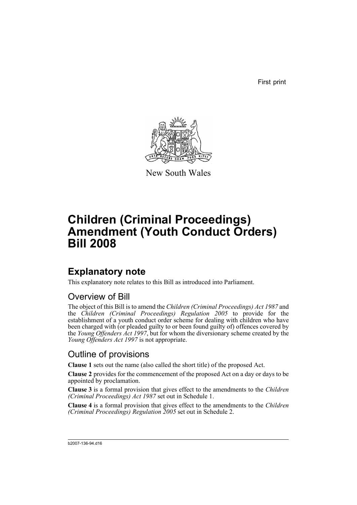First print



New South Wales

# **Children (Criminal Proceedings) Amendment (Youth Conduct Orders) Bill 2008**

# **Explanatory note**

This explanatory note relates to this Bill as introduced into Parliament.

# Overview of Bill

The object of this Bill is to amend the *Children (Criminal Proceedings) Act 1987* and the *Children (Criminal Proceedings) Regulation 2005* to provide for the establishment of a youth conduct order scheme for dealing with children who have been charged with (or pleaded guilty to or been found guilty of) offences covered by the *Young Offenders Act 1997*, but for whom the diversionary scheme created by the *Young Offenders Act 1997* is not appropriate.

# Outline of provisions

**Clause 1** sets out the name (also called the short title) of the proposed Act.

**Clause 2** provides for the commencement of the proposed Act on a day or days to be appointed by proclamation.

**Clause 3** is a formal provision that gives effect to the amendments to the *Children (Criminal Proceedings) Act 1987* set out in Schedule 1.

**Clause 4** is a formal provision that gives effect to the amendments to the *Children (Criminal Proceedings) Regulation 2005* set out in Schedule 2.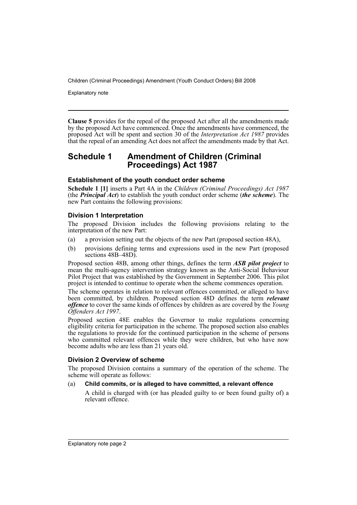Explanatory note

**Clause 5** provides for the repeal of the proposed Act after all the amendments made by the proposed Act have commenced. Once the amendments have commenced, the proposed Act will be spent and section 30 of the *Interpretation Act 1987* provides that the repeal of an amending Act does not affect the amendments made by that Act.

# **Schedule 1 Amendment of Children (Criminal Proceedings) Act 1987**

#### **Establishment of the youth conduct order scheme**

**Schedule 1 [1]** inserts a Part 4A in the *Children (Criminal Proceedings) Act 1987* (the *Principal Act*) to establish the youth conduct order scheme (*the scheme*). The new Part contains the following provisions:

#### **Division 1 Interpretation**

The proposed Division includes the following provisions relating to the interpretation of the new Part:

- (a) a provision setting out the objects of the new Part (proposed section 48A),
- (b) provisions defining terms and expressions used in the new Part (proposed sections 48B-48D).

Proposed section 48B, among other things, defines the term *ASB pilot project* to mean the multi-agency intervention strategy known as the Anti-Social Behaviour Pilot Project that was established by the Government in September 2006. This pilot project is intended to continue to operate when the scheme commences operation.

The scheme operates in relation to relevant offences committed, or alleged to have been committed, by children. Proposed section 48D defines the term *relevant offence* to cover the same kinds of offences by children as are covered by the *Young Offenders Act 1997*.

Proposed section 48E enables the Governor to make regulations concerning eligibility criteria for participation in the scheme. The proposed section also enables the regulations to provide for the continued participation in the scheme of persons who committed relevant offences while they were children, but who have now become adults who are less than 21 years old.

# **Division 2 Overview of scheme**

The proposed Division contains a summary of the operation of the scheme. The scheme will operate as follows:

## (a) **Child commits, or is alleged to have committed, a relevant offence**

A child is charged with (or has pleaded guilty to or been found guilty of) a relevant offence.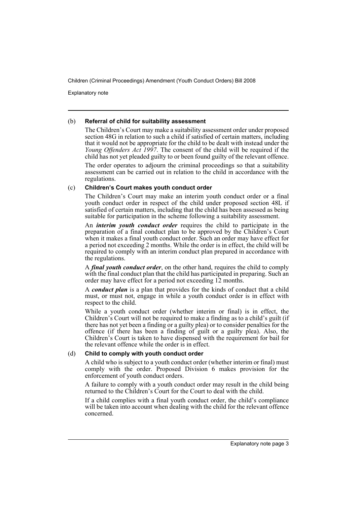Explanatory note

#### (b) **Referral of child for suitability assessment**

The Children's Court may make a suitability assessment order under proposed section 48G in relation to such a child if satisfied of certain matters, including that it would not be appropriate for the child to be dealt with instead under the *Young Offenders Act 1997*. The consent of the child will be required if the child has not yet pleaded guilty to or been found guilty of the relevant offence.

The order operates to adjourn the criminal proceedings so that a suitability assessment can be carried out in relation to the child in accordance with the regulations.

#### (c) **Children's Court makes youth conduct order**

The Children's Court may make an interim youth conduct order or a final youth conduct order in respect of the child under proposed section 48L if satisfied of certain matters, including that the child has been assessed as being suitable for participation in the scheme following a suitability assessment.

An *interim youth conduct order* requires the child to participate in the preparation of a final conduct plan to be approved by the Children's Court when it makes a final youth conduct order. Such an order may have effect for a period not exceeding 2 months. While the order is in effect, the child will be required to comply with an interim conduct plan prepared in accordance with the regulations.

A *final youth conduct order*, on the other hand, requires the child to comply with the final conduct plan that the child has participated in preparing. Such an order may have effect for a period not exceeding 12 months.

A *conduct plan* is a plan that provides for the kinds of conduct that a child must, or must not, engage in while a youth conduct order is in effect with respect to the child.

While a youth conduct order (whether interim or final) is in effect, the Children's Court will not be required to make a finding as to a child's guilt (if there has not yet been a finding or a guilty plea) or to consider penalties for the offence (if there has been a finding of guilt or a guilty plea). Also, the Children's Court is taken to have dispensed with the requirement for bail for the relevant offence while the order is in effect.

#### (d) **Child to comply with youth conduct order**

A child who is subject to a youth conduct order (whether interim or final) must comply with the order. Proposed Division 6 makes provision for the enforcement of youth conduct orders.

A failure to comply with a youth conduct order may result in the child being returned to the Children's Court for the Court to deal with the child.

If a child complies with a final youth conduct order, the child's compliance will be taken into account when dealing with the child for the relevant offence concerned.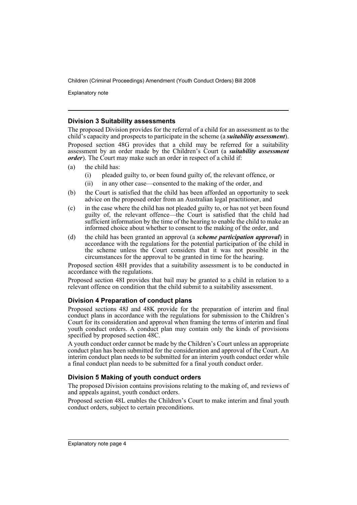Explanatory note

#### **Division 3 Suitability assessments**

The proposed Division provides for the referral of a child for an assessment as to the child's capacity and prospects to participate in the scheme (a *suitability assessment*). Proposed section 48G provides that a child may be referred for a suitability assessment by an order made by the Children's Court (a *suitability assessment order*). The Court may make such an order in respect of a child if:

- (a) the child has:
	- (i) pleaded guilty to, or been found guilty of, the relevant offence, or
	- (ii) in any other case—consented to the making of the order, and
- (b) the Court is satisfied that the child has been afforded an opportunity to seek advice on the proposed order from an Australian legal practitioner, and
- (c) in the case where the child has not pleaded guilty to, or has not yet been found guilty of, the relevant offence—the Court is satisfied that the child had sufficient information by the time of the hearing to enable the child to make an informed choice about whether to consent to the making of the order, and
- (d) the child has been granted an approval (a *scheme participation approval*) in accordance with the regulations for the potential participation of the child in the scheme unless the Court considers that it was not possible in the circumstances for the approval to be granted in time for the hearing.

Proposed section 48H provides that a suitability assessment is to be conducted in accordance with the regulations.

Proposed section 48I provides that bail may be granted to a child in relation to a relevant offence on condition that the child submit to a suitability assessment.

#### **Division 4 Preparation of conduct plans**

Proposed sections 48J and 48K provide for the preparation of interim and final conduct plans in accordance with the regulations for submission to the Children's Court for its consideration and approval when framing the terms of interim and final youth conduct orders. A conduct plan may contain only the kinds of provisions specified by proposed section 48C.

A youth conduct order cannot be made by the Children's Court unless an appropriate conduct plan has been submitted for the consideration and approval of the Court. An interim conduct plan needs to be submitted for an interim youth conduct order while a final conduct plan needs to be submitted for a final youth conduct order.

#### **Division 5 Making of youth conduct orders**

The proposed Division contains provisions relating to the making of, and reviews of and appeals against, youth conduct orders.

Proposed section 48L enables the Children's Court to make interim and final youth conduct orders, subject to certain preconditions.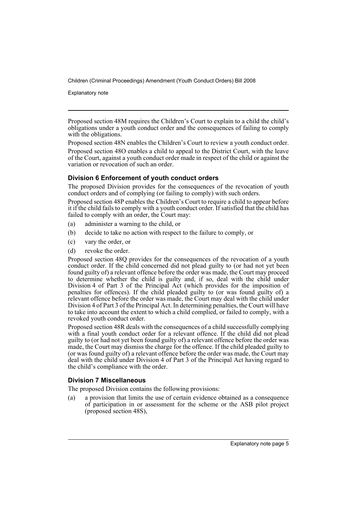Explanatory note

Proposed section 48M requires the Children's Court to explain to a child the child's obligations under a youth conduct order and the consequences of failing to comply with the obligations.

Proposed section 48N enables the Children's Court to review a youth conduct order. Proposed section 48O enables a child to appeal to the District Court, with the leave of the Court, against a youth conduct order made in respect of the child or against the variation or revocation of such an order.

### **Division 6 Enforcement of youth conduct orders**

The proposed Division provides for the consequences of the revocation of youth conduct orders and of complying (or failing to comply) with such orders.

Proposed section 48P enables the Children's Court to require a child to appear before it if the child fails to comply with a youth conduct order. If satisfied that the child has failed to comply with an order, the Court may:

- (a) administer a warning to the child, or
- (b) decide to take no action with respect to the failure to comply, or
- (c) vary the order, or
- (d) revoke the order.

Proposed section 48Q provides for the consequences of the revocation of a youth conduct order. If the child concerned did not plead guilty to (or had not yet been found guilty of) a relevant offence before the order was made, the Court may proceed to determine whether the child is guilty and, if so, deal with the child under Division 4 of Part 3 of the Principal Act (which provides for the imposition of penalties for offences). If the child pleaded guilty to (or was found guilty of) a relevant offence before the order was made, the Court may deal with the child under Division 4 of Part 3 of the Principal Act. In determining penalties, the Court will have to take into account the extent to which a child complied, or failed to comply, with a revoked youth conduct order.

Proposed section 48R deals with the consequences of a child successfully complying with a final youth conduct order for a relevant offence. If the child did not plead guilty to (or had not yet been found guilty of) a relevant offence before the order was made, the Court may dismiss the charge for the offence. If the child pleaded guilty to (or was found guilty of) a relevant offence before the order was made, the Court may deal with the child under Division 4 of Part 3 of the Principal Act having regard to the child's compliance with the order.

# **Division 7 Miscellaneous**

The proposed Division contains the following provisions:

(a) a provision that limits the use of certain evidence obtained as a consequence of participation in or assessment for the scheme or the ASB pilot project (proposed section 48S),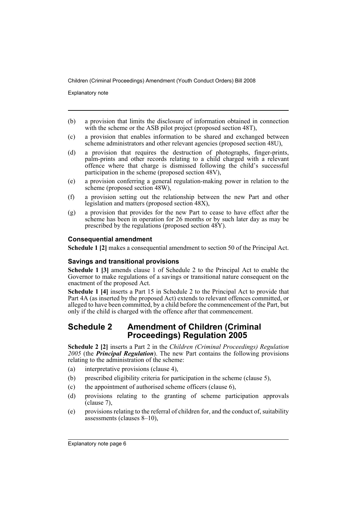Explanatory note

- (b) a provision that limits the disclosure of information obtained in connection with the scheme or the ASB pilot project (proposed section 48T),
- (c) a provision that enables information to be shared and exchanged between scheme administrators and other relevant agencies (proposed section 48U),
- (d) a provision that requires the destruction of photographs, finger-prints, palm-prints and other records relating to a child charged with a relevant offence where that charge is dismissed following the child's successful participation in the scheme (proposed section 48V),
- (e) a provision conferring a general regulation-making power in relation to the scheme (proposed section 48W),
- (f) a provision setting out the relationship between the new Part and other legislation and matters (proposed section 48X),
- (g) a provision that provides for the new Part to cease to have effect after the scheme has been in operation for 26 months or by such later day as may be prescribed by the regulations (proposed section 48Y).

### **Consequential amendment**

**Schedule 1 [2]** makes a consequential amendment to section 50 of the Principal Act.

#### **Savings and transitional provisions**

**Schedule 1 [3]** amends clause 1 of Schedule 2 to the Principal Act to enable the Governor to make regulations of a savings or transitional nature consequent on the enactment of the proposed Act.

**Schedule 1 [4]** inserts a Part 15 in Schedule 2 to the Principal Act to provide that Part 4A (as inserted by the proposed Act) extends to relevant offences committed, or alleged to have been committed, by a child before the commencement of the Part, but only if the child is charged with the offence after that commencement.

# **Schedule 2 Amendment of Children (Criminal Proceedings) Regulation 2005**

**Schedule 2 [2]** inserts a Part 2 in the *Children (Criminal Proceedings) Regulation 2005* (the *Principal Regulation*). The new Part contains the following provisions relating to the administration of the scheme:

- (a) interpretative provisions (clause 4),
- (b) prescribed eligibility criteria for participation in the scheme (clause 5),
- (c) the appointment of authorised scheme officers (clause 6),
- (d) provisions relating to the granting of scheme participation approvals (clause 7),
- (e) provisions relating to the referral of children for, and the conduct of, suitability assessments (clauses 8–10),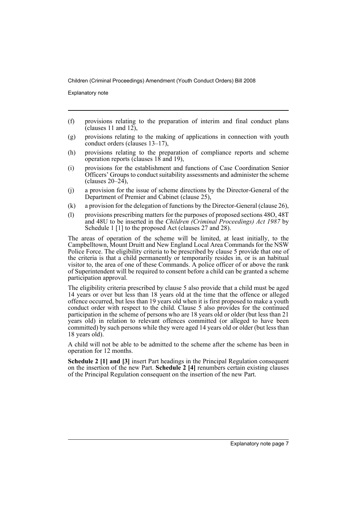Explanatory note

- (f) provisions relating to the preparation of interim and final conduct plans  $\lambda$  (clauses 11 and 12),
- (g) provisions relating to the making of applications in connection with youth conduct orders (clauses 13–17),
- (h) provisions relating to the preparation of compliance reports and scheme operation reports (clauses 18 and 19),
- (i) provisions for the establishment and functions of Case Coordination Senior Officers' Groups to conduct suitability assessments and administer the scheme (clauses 20–24),
- (j) a provision for the issue of scheme directions by the Director-General of the Department of Premier and Cabinet (clause 25),
- (k) a provision for the delegation of functions by the Director-General (clause 26),
- (l) provisions prescribing matters for the purposes of proposed sections 48O, 48T and 48U to be inserted in the *Children (Criminal Proceedings) Act 1987* by Schedule 1 [1] to the proposed Act (clauses 27 and 28).

The areas of operation of the scheme will be limited, at least initially, to the Campbelltown, Mount Druitt and New England Local Area Commands for the NSW Police Force. The eligibility criteria to be prescribed by clause 5 provide that one of the criteria is that a child permanently or temporarily resides in, or is an habitual visitor to, the area of one of these Commands. A police officer of or above the rank of Superintendent will be required to consent before a child can be granted a scheme participation approval.

The eligibility criteria prescribed by clause 5 also provide that a child must be aged 14 years or over but less than 18 years old at the time that the offence or alleged offence occurred, but less than 19 years old when it is first proposed to make a youth conduct order with respect to the child. Clause 5 also provides for the continued participation in the scheme of persons who are 18 years old or older (but less than 21 years old) in relation to relevant offences committed (or alleged to have been committed) by such persons while they were aged 14 years old or older (but less than 18 years old).

A child will not be able to be admitted to the scheme after the scheme has been in operation for 12 months.

**Schedule 2 [1] and [3]** insert Part headings in the Principal Regulation consequent on the insertion of the new Part. **Schedule 2 [4]** renumbers certain existing clauses of the Principal Regulation consequent on the insertion of the new Part.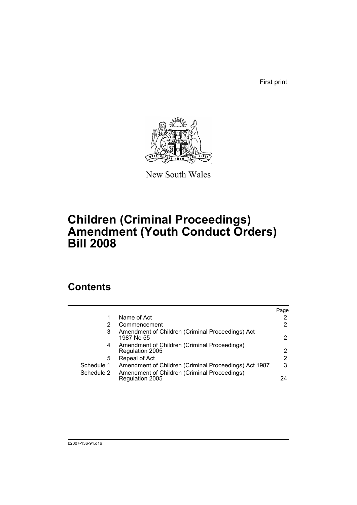First print



New South Wales

# **Children (Criminal Proceedings) Amendment (Youth Conduct Orders) Bill 2008**

# **Contents**

|            |                                                                 | Page |
|------------|-----------------------------------------------------------------|------|
|            | Name of Act                                                     |      |
| 2          | Commencement                                                    | 2    |
| 3          | Amendment of Children (Criminal Proceedings) Act<br>1987 No 55  | 2    |
| 4          | Amendment of Children (Criminal Proceedings)<br>Regulation 2005 | 2    |
| 5          | Repeal of Act                                                   | 2    |
| Schedule 1 | Amendment of Children (Criminal Proceedings) Act 1987           | 3    |
| Schedule 2 | Amendment of Children (Criminal Proceedings)<br>Regulation 2005 | 24   |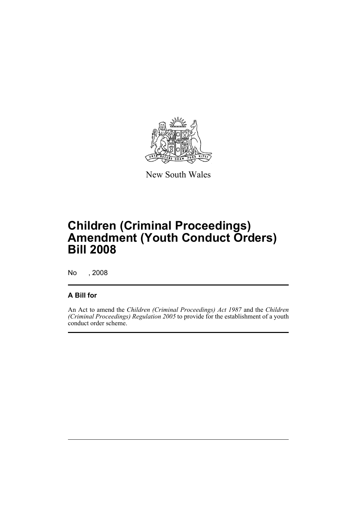

New South Wales

# **Children (Criminal Proceedings) Amendment (Youth Conduct Orders) Bill 2008**

No , 2008

# **A Bill for**

An Act to amend the *Children (Criminal Proceedings) Act 1987* and the *Children (Criminal Proceedings) Regulation 2005* to provide for the establishment of a youth conduct order scheme.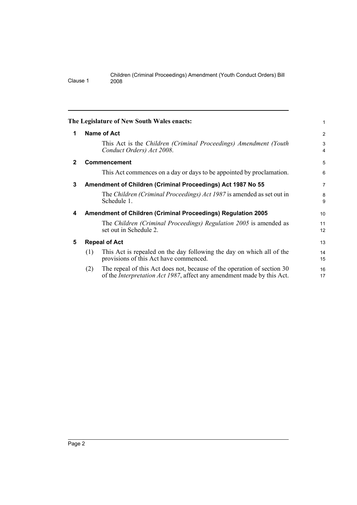<span id="page-11-4"></span><span id="page-11-3"></span><span id="page-11-2"></span><span id="page-11-1"></span><span id="page-11-0"></span>

|              | The Legislature of New South Wales enacts:                                                                                                                       | $\mathbf{1}$        |
|--------------|------------------------------------------------------------------------------------------------------------------------------------------------------------------|---------------------|
| 1            | Name of Act                                                                                                                                                      | 2                   |
|              | This Act is the Children (Criminal Proceedings) Amendment (Youth<br>Conduct Orders) Act 2008.                                                                    | 3<br>$\overline{4}$ |
| $\mathbf{2}$ | <b>Commencement</b>                                                                                                                                              | 5                   |
|              | This Act commences on a day or days to be appointed by proclamation.                                                                                             | 6                   |
| 3            | Amendment of Children (Criminal Proceedings) Act 1987 No 55                                                                                                      | 7                   |
|              | The Children (Criminal Proceedings) Act 1987 is amended as set out in<br>Schedule 1.                                                                             | 8<br>9              |
| 4            | <b>Amendment of Children (Criminal Proceedings) Regulation 2005</b>                                                                                              | 10                  |
|              | The Children (Criminal Proceedings) Regulation 2005 is amended as<br>set out in Schedule 2.                                                                      | 11<br>12            |
| 5            | <b>Repeal of Act</b>                                                                                                                                             | 13                  |
|              | This Act is repealed on the day following the day on which all of the<br>(1)<br>provisions of this Act have commenced.                                           | 14<br>15            |
|              | The repeal of this Act does not, because of the operation of section 30<br>(2)<br>of the <i>Interpretation Act 1987</i> , affect any amendment made by this Act. | 16<br>17            |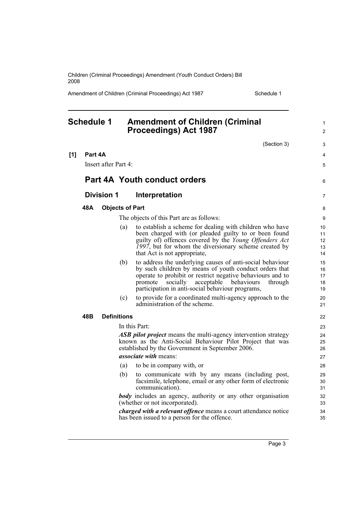Amendment of Children (Criminal Proceedings) Act 1987 Schedule 1

<span id="page-12-0"></span>

| <b>Schedule 1</b> |         |                      | <b>Amendment of Children (Criminal</b><br><b>Proceedings) Act 1987</b> | $\mathbf{1}$<br>2                                                                                                                                                                                                                                                                             |                            |
|-------------------|---------|----------------------|------------------------------------------------------------------------|-----------------------------------------------------------------------------------------------------------------------------------------------------------------------------------------------------------------------------------------------------------------------------------------------|----------------------------|
|                   |         |                      |                                                                        | (Section 3)                                                                                                                                                                                                                                                                                   | 3                          |
| [1]               | Part 4A |                      |                                                                        |                                                                                                                                                                                                                                                                                               | 4                          |
|                   |         | Insert after Part 4: |                                                                        |                                                                                                                                                                                                                                                                                               | 5                          |
|                   |         |                      |                                                                        | <b>Part 4A Youth conduct orders</b>                                                                                                                                                                                                                                                           | 6                          |
|                   |         | <b>Division 1</b>    |                                                                        | Interpretation                                                                                                                                                                                                                                                                                | $\overline{7}$             |
|                   | 48A     |                      | <b>Objects of Part</b>                                                 |                                                                                                                                                                                                                                                                                               | 8                          |
|                   |         |                      |                                                                        | The objects of this Part are as follows:                                                                                                                                                                                                                                                      | 9                          |
|                   |         |                      | (a)                                                                    | to establish a scheme for dealing with children who have<br>been charged with (or pleaded guilty to or been found<br>guilty of) offences covered by the Young Offenders Act<br>1997, but for whom the diversionary scheme created by<br>that Act is not appropriate,                          | 10<br>11<br>12<br>13<br>14 |
|                   |         |                      | (b)                                                                    | to address the underlying causes of anti-social behaviour<br>by such children by means of youth conduct orders that<br>operate to prohibit or restrict negative behaviours and to<br>socially acceptable behaviours<br>promote<br>through<br>participation in anti-social behaviour programs, | 15<br>16<br>17<br>18<br>19 |
|                   |         |                      | (c)                                                                    | to provide for a coordinated multi-agency approach to the<br>administration of the scheme.                                                                                                                                                                                                    | 20<br>21                   |
|                   | 48B     |                      | <b>Definitions</b>                                                     |                                                                                                                                                                                                                                                                                               | 22                         |
|                   |         |                      |                                                                        | In this Part:                                                                                                                                                                                                                                                                                 | 23                         |
|                   |         |                      |                                                                        | <b>ASB</b> pilot project means the multi-agency intervention strategy<br>known as the Anti-Social Behaviour Pilot Project that was<br>established by the Government in September 2006.                                                                                                        | 24<br>25<br>26             |
|                   |         |                      |                                                                        | <i>associate with</i> means:                                                                                                                                                                                                                                                                  | 27                         |
|                   |         |                      | (a)                                                                    | to be in company with, or                                                                                                                                                                                                                                                                     | 28                         |
|                   |         |                      | (b)                                                                    | to communicate with by any means (including post,<br>facsimile, telephone, email or any other form of electronic<br>communication).                                                                                                                                                           | 29<br>30<br>31             |
|                   |         |                      |                                                                        | <b>body</b> includes an agency, authority or any other organisation<br>(whether or not incorporated).                                                                                                                                                                                         | 32<br>33                   |
|                   |         |                      |                                                                        | <i>charged with a relevant offence</i> means a court attendance notice<br>has been issued to a person for the offence.                                                                                                                                                                        | 34<br>35                   |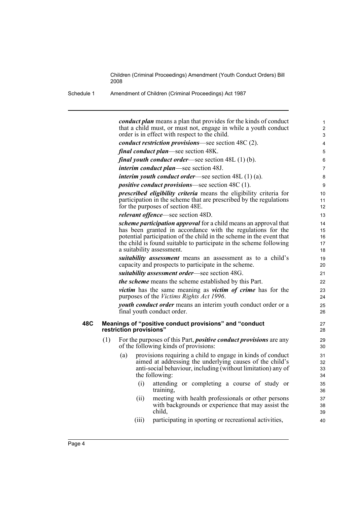> 7

Schedule 1 Amendment of Children (Criminal Proceedings) Act 1987

*conduct plan* means a plan that provides for the kinds of conduct that a child must, or must not, engage in while a youth conduct order is in effect with respect to the child. *conduct restriction provisions*—see section 48C (2). *final conduct plan*—see section 48K. *final youth conduct order*—see section 48L (1) (b). *interim conduct plan*—see section 48J. *interim youth conduct order*—see section 48L (1) (a). *positive conduct provisions*—see section 48C (1). *prescribed eligibility criteria* means the eligibility criteria for participation in the scheme that are prescribed by the regulations for the purposes of section 48E. *relevant offence*—see section 48D. *scheme participation approval* for a child means an approval that has been granted in accordance with the regulations for the potential participation of the child in the scheme in the event that the child is found suitable to participate in the scheme following a suitability assessment. *suitability assessment* means an assessment as to a child's capacity and prospects to participate in the scheme. *suitability assessment order*—see section 48G. *the scheme* means the scheme established by this Part. *victim* has the same meaning as *victim of crime* has for the purposes of the *Victims Rights Act 1996*. *youth conduct order* means an interim youth conduct order or a final youth conduct order. **48C Meanings of "positive conduct provisions" and "conduct restriction provisions"** (1) For the purposes of this Part, *positive conduct provisions* are any of the following kinds of provisions: (a) provisions requiring a child to engage in kinds of conduct aimed at addressing the underlying causes of the child's anti-social behaviour, including (without limitation) any of the following: (i) attending or completing a course of study or training, (ii) meeting with health professionals or other persons with backgrounds or experience that may assist the child, (iii) participating in sporting or recreational activities, 6 8 9 10 11 12 13 14 15 16 17 18 19  $20$ 21  $22$ 23 24 25 26 27 28 29 30 31 32 33 34 35 36 37 38 39 40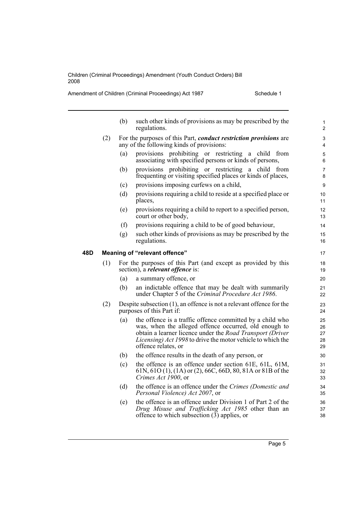Amendment of Children (Criminal Proceedings) Act 1987 Schedule 1

**48D Meaning of "relevant offence"**

|     | (b)                                                                                                      | such other kinds of provisions as may be prescribed by the<br>regulations.                                                                                                                                                                                            | 1<br>2                     |  |
|-----|----------------------------------------------------------------------------------------------------------|-----------------------------------------------------------------------------------------------------------------------------------------------------------------------------------------------------------------------------------------------------------------------|----------------------------|--|
| (2) |                                                                                                          | For the purposes of this Part, <i>conduct restriction provisions</i> are<br>any of the following kinds of provisions:                                                                                                                                                 | 3<br>4                     |  |
|     | (a)                                                                                                      | provisions prohibiting or restricting a child<br>from<br>associating with specified persons or kinds of persons,                                                                                                                                                      | 5<br>6                     |  |
|     | (b)                                                                                                      | provisions prohibiting or restricting a<br>child from<br>frequenting or visiting specified places or kinds of places,                                                                                                                                                 | 7<br>8                     |  |
|     | (c)                                                                                                      | provisions imposing curfews on a child,                                                                                                                                                                                                                               | 9                          |  |
|     | (d)                                                                                                      | provisions requiring a child to reside at a specified place or<br>places,                                                                                                                                                                                             | 10<br>11                   |  |
|     | (e)                                                                                                      | provisions requiring a child to report to a specified person,<br>court or other body,                                                                                                                                                                                 | 12<br>13                   |  |
|     | (f)                                                                                                      | provisions requiring a child to be of good behaviour,                                                                                                                                                                                                                 | 14                         |  |
|     | (g)                                                                                                      | such other kinds of provisions as may be prescribed by the<br>regulations.                                                                                                                                                                                            | 15<br>16                   |  |
|     |                                                                                                          | <b>Meaning of "relevant offence"</b>                                                                                                                                                                                                                                  | 17                         |  |
| (1) | For the purposes of this Part (and except as provided by this<br>section), a <i>relevant offence</i> is: |                                                                                                                                                                                                                                                                       |                            |  |
|     | (a)                                                                                                      | a summary offence, or                                                                                                                                                                                                                                                 | 20                         |  |
|     | (b)                                                                                                      | an indictable offence that may be dealt with summarily<br>under Chapter 5 of the Criminal Procedure Act 1986.                                                                                                                                                         | 21<br>22                   |  |
| (2) |                                                                                                          | Despite subsection $(1)$ , an offence is not a relevant offence for the<br>purposes of this Part if:                                                                                                                                                                  | 23<br>24                   |  |
|     | (a)                                                                                                      | the offence is a traffic offence committed by a child who<br>was, when the alleged offence occurred, old enough to<br>obtain a learner licence under the Road Transport (Driver<br>Licensing) Act 1998 to drive the motor vehicle to which the<br>offence relates, or | 25<br>26<br>27<br>28<br>29 |  |
|     | (b)                                                                                                      | the offence results in the death of any person, or                                                                                                                                                                                                                    | 30                         |  |
|     | (c)                                                                                                      | the offence is an offence under section 61E, 61L, 61M,<br>$61N, 61O(1), (1A)$ or (2), 66C, 66D, 80, 81A or 81B of the<br>Crimes Act 1900, or                                                                                                                          | 31<br>32<br>33             |  |
|     | (d)                                                                                                      | the offence is an offence under the Crimes (Domestic and<br>Personal Violence) Act 2007, or                                                                                                                                                                           | 34<br>35                   |  |
|     | (e)                                                                                                      | the offence is an offence under Division 1 of Part 2 of the<br>Drug Misuse and Trafficking Act 1985 other than an<br>offence to which subsection $(3)$ applies, or                                                                                                    | 36<br>37<br>38             |  |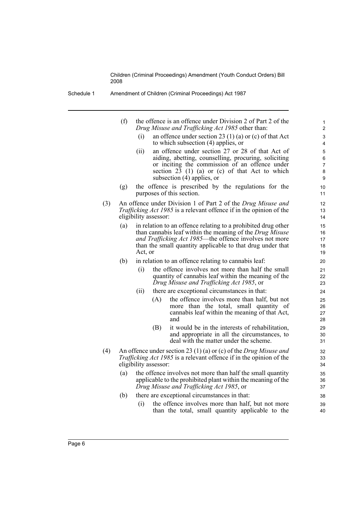- Schedule 1 Amendment of Children (Criminal Proceedings) Act 1987
	- (f) the offence is an offence under Division 2 of Part 2 of the *Drug Misuse and Trafficking Act 1985* other than:
		- (i) an offence under section 23 (1) (a) or (c) of that Act to which subsection (4) applies, or

- (ii) an offence under section 27 or 28 of that Act of aiding, abetting, counselling, procuring, soliciting or inciting the commission of an offence under section  $23$  (1) (a) or (c) of that Act to which subsection (4) applies, or
- (g) the offence is prescribed by the regulations for the purposes of this section.
- (3) An offence under Division 1 of Part 2 of the *Drug Misuse and Trafficking Act 1985* is a relevant offence if in the opinion of the eligibility assessor:
	- (a) in relation to an offence relating to a prohibited drug other than cannabis leaf within the meaning of the *Drug Misuse and Trafficking Act 1985*—the offence involves not more than the small quantity applicable to that drug under that Act, or
	- (b) in relation to an offence relating to cannabis leaf:
		- (i) the offence involves not more than half the small quantity of cannabis leaf within the meaning of the *Drug Misuse and Trafficking Act 1985*, or
		- (ii) there are exceptional circumstances in that:
			- (A) the offence involves more than half, but not more than the total, small quantity of cannabis leaf within the meaning of that Act, and
			- (B) it would be in the interests of rehabilitation, and appropriate in all the circumstances, to deal with the matter under the scheme.
- (4) An offence under section 23 (1) (a) or (c) of the *Drug Misuse and Trafficking Act 1985* is a relevant offence if in the opinion of the eligibility assessor:
	- (a) the offence involves not more than half the small quantity applicable to the prohibited plant within the meaning of the *Drug Misuse and Trafficking Act 1985*, or
	- (b) there are exceptional circumstances in that:
		- (i) the offence involves more than half, but not more than the total, small quantity applicable to the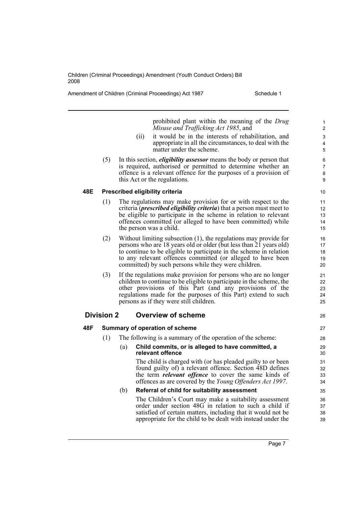Amendment of Children (Criminal Proceedings) Act 1987 Schedule 1

26

prohibited plant within the meaning of the *Drug Misuse and Trafficking Act 1985*, and

- (ii) it would be in the interests of rehabilitation, and appropriate in all the circumstances, to deal with the matter under the scheme.
- (5) In this section, *eligibility assessor* means the body or person that is required, authorised or permitted to determine whether an offence is a relevant offence for the purposes of a provision of this Act or the regulations.

#### **48E Prescribed eligibility criteria**

- (1) The regulations may make provision for or with respect to the criteria (*prescribed eligibility criteria*) that a person must meet to be eligible to participate in the scheme in relation to relevant offences committed (or alleged to have been committed) while the person was a child.
- (2) Without limiting subsection (1), the regulations may provide for persons who are 18 years old or older (but less than 21 years old) to continue to be eligible to participate in the scheme in relation to any relevant offences committed (or alleged to have been committed) by such persons while they were children.
- (3) If the regulations make provision for persons who are no longer children to continue to be eligible to participate in the scheme, the other provisions of this Part (and any provisions of the regulations made for the purposes of this Part) extend to such persons as if they were still children.

# **Division 2 Overview of scheme**

# **48F Summary of operation of scheme**

(1) The following is a summary of the operation of the scheme:

#### (a) **Child commits, or is alleged to have committed, a relevant offence**

The child is charged with (or has pleaded guilty to or been found guilty of) a relevant offence. Section 48D defines the term *relevant offence* to cover the same kinds of offences as are covered by the *Young Offenders Act 1997*.

#### (b) **Referral of child for suitability assessment**

The Children's Court may make a suitability assessment order under section 48G in relation to such a child if satisfied of certain matters, including that it would not be appropriate for the child to be dealt with instead under the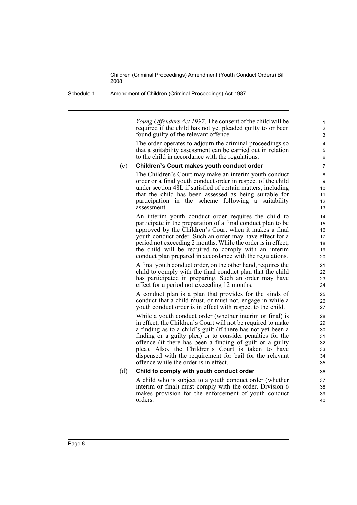Schedule 1 Amendment of Children (Criminal Proceedings) Act 1987

*Young Offenders Act 1997*. The consent of the child will be required if the child has not yet pleaded guilty to or been found guilty of the relevant offence.

The order operates to adjourn the criminal proceedings so that a suitability assessment can be carried out in relation to the child in accordance with the regulations.

#### (c) **Children's Court makes youth conduct order**

The Children's Court may make an interim youth conduct order or a final youth conduct order in respect of the child under section 48L if satisfied of certain matters, including that the child has been assessed as being suitable for participation in the scheme following  $\alpha$  suitability assessment.

An interim youth conduct order requires the child to participate in the preparation of a final conduct plan to be approved by the Children's Court when it makes a final youth conduct order. Such an order may have effect for a period not exceeding 2 months. While the order is in effect, the child will be required to comply with an interim conduct plan prepared in accordance with the regulations.

A final youth conduct order, on the other hand, requires the child to comply with the final conduct plan that the child has participated in preparing. Such an order may have effect for a period not exceeding 12 months.

A conduct plan is a plan that provides for the kinds of conduct that a child must, or must not, engage in while a youth conduct order is in effect with respect to the child.

While a youth conduct order (whether interim or final) is in effect, the Children's Court will not be required to make a finding as to a child's guilt (if there has not yet been a finding or a guilty plea) or to consider penalties for the offence (if there has been a finding of guilt or a guilty plea). Also, the Children's Court is taken to have dispensed with the requirement for bail for the relevant offence while the order is in effect.

#### (d) **Child to comply with youth conduct order**

A child who is subject to a youth conduct order (whether interim or final) must comply with the order. Division 6 makes provision for the enforcement of youth conduct orders.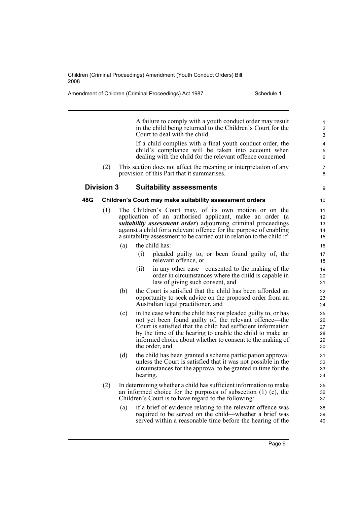Amendment of Children (Criminal Proceedings) Act 1987 Schedule 1

**9** 

A failure to comply with a youth conduct order may result in the child being returned to the Children's Court for the Court to deal with the child.

If a child complies with a final youth conduct order, the child's compliance will be taken into account when dealing with the child for the relevant offence concerned.

(2) This section does not affect the meaning or interpretation of any provision of this Part that it summarises.

#### **Division 3 Suitability assessments**

#### **48G Children's Court may make suitability assessment orders**

- The Children's Court may, of its own motion or on the application of an authorised applicant, make an order (a *suitability assessment order*) adjourning criminal proceedings against a child for a relevant offence for the purpose of enabling a suitability assessment to be carried out in relation to the child if:
	- (a) the child has:
		- (i) pleaded guilty to, or been found guilty of, the relevant offence, or
		- (ii) in any other case—consented to the making of the order in circumstances where the child is capable in law of giving such consent, and
	- (b) the Court is satisfied that the child has been afforded an opportunity to seek advice on the proposed order from an Australian legal practitioner, and
	- (c) in the case where the child has not pleaded guilty to, or has not yet been found guilty of, the relevant offence—the Court is satisfied that the child had sufficient information by the time of the hearing to enable the child to make an informed choice about whether to consent to the making of the order, and
	- (d) the child has been granted a scheme participation approval unless the Court is satisfied that it was not possible in the circumstances for the approval to be granted in time for the hearing.
- (2) In determining whether a child has sufficient information to make an informed choice for the purposes of subsection (1) (c), the Children's Court is to have regard to the following:
	- (a) if a brief of evidence relating to the relevant offence was required to be served on the child—whether a brief was served within a reasonable time before the hearing of the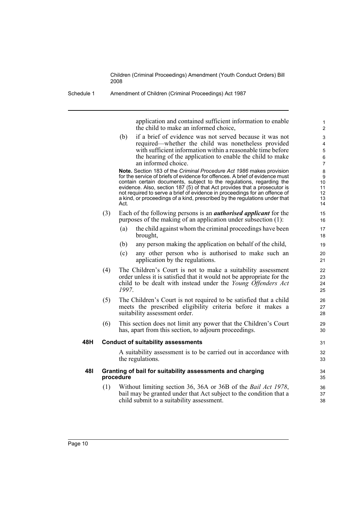Schedule 1 Amendment of Children (Criminal Proceedings) Act 1987

application and contained sufficient information to enable the child to make an informed choice,

31 32 33

(b) if a brief of evidence was not served because it was not required—whether the child was nonetheless provided with sufficient information within a reasonable time before the hearing of the application to enable the child to make an informed choice.

**Note.** Section 183 of the *Criminal Procedure Act 1986* makes provision for the service of briefs of evidence for offences. A brief of evidence must contain certain documents, subject to the regulations, regarding the evidence. Also, section 187 (5) of that Act provides that a prosecutor is not required to serve a brief of evidence in proceedings for an offence of a kind, or proceedings of a kind, prescribed by the regulations under that Act.

- (3) Each of the following persons is an *authorised applicant* for the purposes of the making of an application under subsection (1):
	- (a) the child against whom the criminal proceedings have been brought,
	- (b) any person making the application on behalf of the child,
	- (c) any other person who is authorised to make such an application by the regulations.
- (4) The Children's Court is not to make a suitability assessment order unless it is satisfied that it would not be appropriate for the child to be dealt with instead under the *Young Offenders Act 1997*.
- (5) The Children's Court is not required to be satisfied that a child meets the prescribed eligibility criteria before it makes a suitability assessment order.
- (6) This section does not limit any power that the Children's Court has, apart from this section, to adjourn proceedings.

#### **48H Conduct of suitability assessments**

A suitability assessment is to be carried out in accordance with the regulations.

#### **48I Granting of bail for suitability assessments and charging procedure**

(1) Without limiting section 36, 36A or 36B of the *Bail Act 1978*, bail may be granted under that Act subject to the condition that a child submit to a suitability assessment.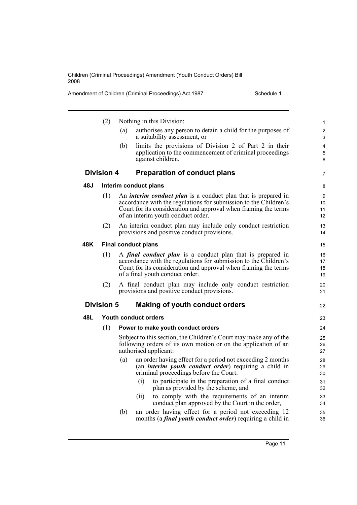Amendment of Children (Criminal Proceedings) Act 1987 Schedule 1

(2) Nothing in this Division: (a) authorises any person to detain a child for the purposes of a suitability assessment, or (b) limits the provisions of Division 2 of Part 2 in their application to the commencement of criminal proceedings against children. **Division 4 Preparation of conduct plans 48J Interim conduct plans** (1) An *interim conduct plan* is a conduct plan that is prepared in accordance with the regulations for submission to the Children's Court for its consideration and approval when framing the terms of an interim youth conduct order. (2) An interim conduct plan may include only conduct restriction provisions and positive conduct provisions. **48K Final conduct plans** (1) A *final conduct plan* is a conduct plan that is prepared in accordance with the regulations for submission to the Children's Court for its consideration and approval when framing the terms of a final youth conduct order. (2) A final conduct plan may include only conduct restriction provisions and positive conduct provisions. **Division 5 Making of youth conduct orders 48L Youth conduct orders** (1) **Power to make youth conduct orders** Subject to this section, the Children's Court may make any of the following orders of its own motion or on the application of an authorised applicant: (a) an order having effect for a period not exceeding 2 months (an *interim youth conduct order*) requiring a child in criminal proceedings before the Court: (i) to participate in the preparation of a final conduct plan as provided by the scheme, and (ii) to comply with the requirements of an interim conduct plan approved by the Court in the order, (b) an order having effect for a period not exceeding 12 months (a *final youth conduct order*) requiring a child in 1 2  $\overline{a}$ 4 5 6 7 8 **9**  $10$ 11 12 13 14 15 16 17 18 19  $20$ 21 22 23  $24$ 25 26 27 28 29 30 31 32 33 34 35 36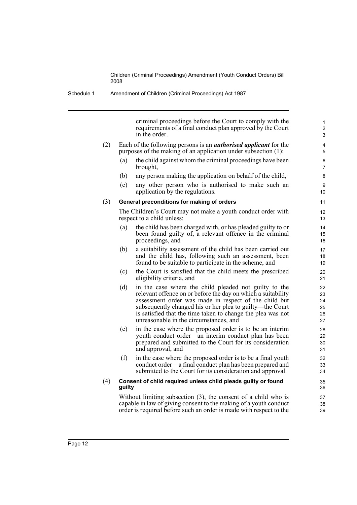criminal proceedings before the Court to comply with the requirements of a final conduct plan approved by the Court in the order.

- (2) Each of the following persons is an *authorised applicant* for the purposes of the making of an application under subsection (1):
	- (a) the child against whom the criminal proceedings have been brought,
	- (b) any person making the application on behalf of the child,
	- (c) any other person who is authorised to make such an application by the regulations.

#### (3) **General preconditions for making of orders**

The Children's Court may not make a youth conduct order with respect to a child unless:

- (a) the child has been charged with, or has pleaded guilty to or been found guilty of, a relevant offence in the criminal proceedings, and
- (b) a suitability assessment of the child has been carried out and the child has, following such an assessment, been found to be suitable to participate in the scheme, and
- (c) the Court is satisfied that the child meets the prescribed eligibility criteria, and
- (d) in the case where the child pleaded not guilty to the relevant offence on or before the day on which a suitability assessment order was made in respect of the child but subsequently changed his or her plea to guilty—the Court is satisfied that the time taken to change the plea was not unreasonable in the circumstances, and
- (e) in the case where the proposed order is to be an interim youth conduct order—an interim conduct plan has been prepared and submitted to the Court for its consideration and approval, and
- (f) in the case where the proposed order is to be a final youth conduct order—a final conduct plan has been prepared and submitted to the Court for its consideration and approval.

#### (4) **Consent of child required unless child pleads guilty or found guilty**

Without limiting subsection (3), the consent of a child who is capable in law of giving consent to the making of a youth conduct order is required before such an order is made with respect to the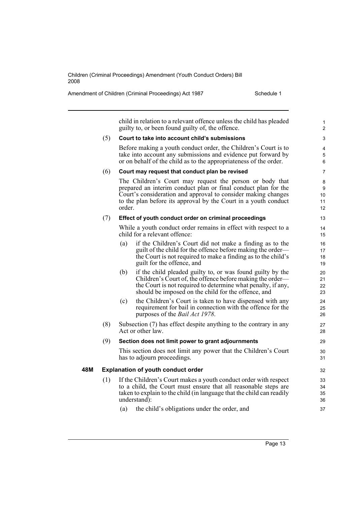Amendment of Children (Criminal Proceedings) Act 1987 Schedule 1

|     |     |        | child in relation to a relevant offence unless the child has pleaded<br>guilty to, or been found guilty of, the offence.                                                                                                                                       | $\mathbf{1}$<br>$\overline{2}$ |
|-----|-----|--------|----------------------------------------------------------------------------------------------------------------------------------------------------------------------------------------------------------------------------------------------------------------|--------------------------------|
|     | (5) |        | Court to take into account child's submissions                                                                                                                                                                                                                 | 3                              |
|     |     |        | Before making a youth conduct order, the Children's Court is to<br>take into account any submissions and evidence put forward by<br>or on behalf of the child as to the appropriateness of the order.                                                          | 4<br>5<br>6                    |
|     | (6) |        | Court may request that conduct plan be revised                                                                                                                                                                                                                 | 7                              |
|     |     | order. | The Children's Court may request the person or body that<br>prepared an interim conduct plan or final conduct plan for the<br>Court's consideration and approval to consider making changes<br>to the plan before its approval by the Court in a youth conduct | 8<br>9<br>10<br>11<br>12       |
|     | (7) |        | Effect of youth conduct order on criminal proceedings                                                                                                                                                                                                          | 13                             |
|     |     |        | While a youth conduct order remains in effect with respect to a<br>child for a relevant offence:                                                                                                                                                               | 14<br>15                       |
|     |     | (a)    | if the Children's Court did not make a finding as to the<br>guilt of the child for the offence before making the order—<br>the Court is not required to make a finding as to the child's<br>guilt for the offence, and                                         | 16<br>17<br>18<br>19           |
|     |     | (b)    | if the child pleaded guilty to, or was found guilty by the<br>Children's Court of, the offence before making the order—<br>the Court is not required to determine what penalty, if any,<br>should be imposed on the child for the offence, and                 | 20<br>21<br>22<br>23           |
|     |     | (c)    | the Children's Court is taken to have dispensed with any<br>requirement for bail in connection with the offence for the<br>purposes of the <i>Bail Act 1978</i> .                                                                                              | 24<br>25<br>26                 |
|     | (8) |        | Subsection (7) has effect despite anything to the contrary in any<br>Act or other law.                                                                                                                                                                         | 27<br>28                       |
|     | (9) |        | Section does not limit power to grant adjournments                                                                                                                                                                                                             | 29                             |
|     |     |        | This section does not limit any power that the Children's Court<br>has to adjourn proceedings.                                                                                                                                                                 | 30<br>31                       |
| 48M |     |        | <b>Explanation of youth conduct order</b>                                                                                                                                                                                                                      | 32                             |
|     | (1) |        | If the Children's Court makes a youth conduct order with respect<br>to a child, the Court must ensure that all reasonable steps are<br>taken to explain to the child (in language that the child can readily<br>understand):                                   | 33<br>34<br>35<br>36           |
|     |     | (a)    | the child's obligations under the order, and                                                                                                                                                                                                                   | 37                             |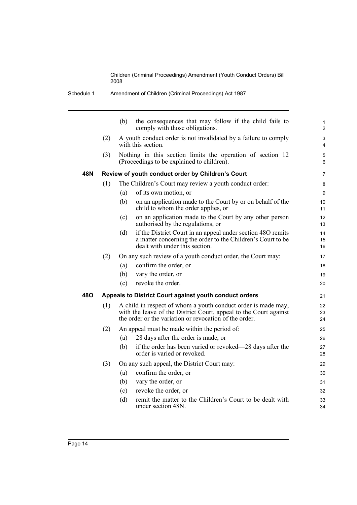|     |     | (b)<br>the consequences that may follow if the child fails to<br>comply with those obligations.                                                                                              |
|-----|-----|----------------------------------------------------------------------------------------------------------------------------------------------------------------------------------------------|
|     | (2) | A youth conduct order is not invalidated by a failure to comply<br>with this section.                                                                                                        |
|     | (3) | Nothing in this section limits the operation of section 12<br>(Proceedings to be explained to children).                                                                                     |
| 48N |     | Review of youth conduct order by Children's Court                                                                                                                                            |
|     | (1) | The Children's Court may review a youth conduct order:                                                                                                                                       |
|     |     | of its own motion, or<br>(a)                                                                                                                                                                 |
|     |     | on an application made to the Court by or on behalf of the<br>(b)<br>child to whom the order applies, or                                                                                     |
|     |     | on an application made to the Court by any other person<br>(c)<br>authorised by the regulations, or                                                                                          |
|     |     | if the District Court in an appeal under section 480 remits<br>(d)<br>a matter concerning the order to the Children's Court to be<br>dealt with under this section.                          |
|     | (2) | On any such review of a youth conduct order, the Court may:                                                                                                                                  |
|     |     | confirm the order, or<br>(a)                                                                                                                                                                 |
|     |     | vary the order, or<br>(b)                                                                                                                                                                    |
|     |     | revoke the order.<br>(c)                                                                                                                                                                     |
| 48O |     | Appeals to District Court against youth conduct orders                                                                                                                                       |
|     | (1) | A child in respect of whom a youth conduct order is made may,<br>with the leave of the District Court, appeal to the Court against<br>the order or the variation or revocation of the order. |
|     | (2) | An appeal must be made within the period of:                                                                                                                                                 |
|     |     | 28 days after the order is made, or<br>(a)                                                                                                                                                   |
|     |     | if the order has been varied or revoked—28 days after the<br>(b)<br>order is varied or revoked.                                                                                              |
|     | (3) | On any such appeal, the District Court may:                                                                                                                                                  |
|     |     | confirm the order, or<br>(a)                                                                                                                                                                 |
|     |     | vary the order, or<br>(b)                                                                                                                                                                    |
|     |     | revoke the order, or<br>(c)                                                                                                                                                                  |
|     |     |                                                                                                                                                                                              |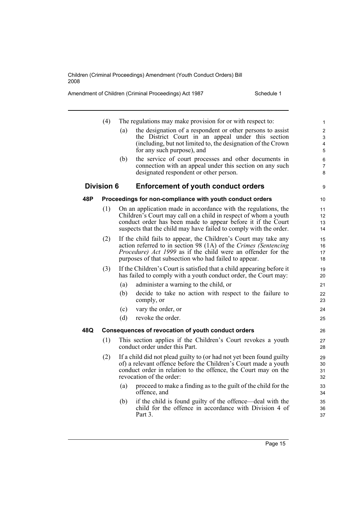Amendment of Children (Criminal Proceedings) Act 1987 Schedule 1

|     | (4)               |     | The regulations may make provision for or with respect to:                                                                               | $\mathbf{1}$   |
|-----|-------------------|-----|------------------------------------------------------------------------------------------------------------------------------------------|----------------|
|     |                   | (a) | the designation of a respondent or other persons to assist                                                                               | $\overline{2}$ |
|     |                   |     | the District Court in an appeal under this section                                                                                       | 3              |
|     |                   |     | (including, but not limited to, the designation of the Crown<br>for any such purpose), and                                               | 4<br>5         |
|     |                   | (b) | the service of court processes and other documents in                                                                                    | 6              |
|     |                   |     | connection with an appeal under this section on any such<br>designated respondent or other person.                                       | 7<br>8         |
|     | <b>Division 6</b> |     | <b>Enforcement of youth conduct orders</b>                                                                                               | 9              |
| 48P |                   |     | Proceedings for non-compliance with youth conduct orders                                                                                 | 10             |
|     | (1)               |     | On an application made in accordance with the regulations, the                                                                           | 11             |
|     |                   |     | Children's Court may call on a child in respect of whom a youth                                                                          | 12             |
|     |                   |     | conduct order has been made to appear before it if the Court<br>suspects that the child may have failed to comply with the order.        | 13<br>14       |
|     | (2)               |     | If the child fails to appear, the Children's Court may take any                                                                          | 15             |
|     |                   |     | action referred to in section 98 (1A) of the Crimes (Sentencing                                                                          | 16             |
|     |                   |     | <i>Procedure) Act 1999</i> as if the child were an offender for the<br>purposes of that subsection who had failed to appear.             | 17<br>18       |
|     |                   |     |                                                                                                                                          |                |
|     | (3)               |     | If the Children's Court is satisfied that a child appearing before it<br>has failed to comply with a youth conduct order, the Court may: | 19<br>20       |
|     |                   | (a) | administer a warning to the child, or                                                                                                    | 21             |
|     |                   | (b) | decide to take no action with respect to the failure to<br>comply, or                                                                    | 22<br>23       |
|     |                   | (c) | vary the order, or                                                                                                                       | 24             |
|     |                   | (d) | revoke the order.                                                                                                                        | 25             |
| 48Q |                   |     | Consequences of revocation of youth conduct orders                                                                                       | 26             |
|     | (1)               |     | This section applies if the Children's Court revokes a youth<br>conduct order under this Part.                                           | 27<br>28       |
|     | (2)               |     | If a child did not plead guilty to (or had not yet been found guilty                                                                     | 29             |
|     |                   |     | of) a relevant offence before the Children's Court made a youth                                                                          | 30             |
|     |                   |     | conduct order in relation to the offence, the Court may on the<br>revocation of the order:                                               | 31<br>32       |
|     |                   | (a) | proceed to make a finding as to the guilt of the child for the<br>offence, and                                                           | 33<br>34       |
|     |                   | (b) | if the child is found guilty of the offence—deal with the<br>child for the offence in accordance with Division 4 of<br>Part 3.           | 35<br>36<br>37 |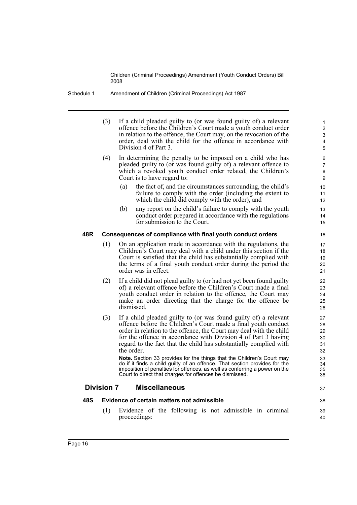- Schedule 1 Amendment of Children (Criminal Proceedings) Act 1987
	- (3) If a child pleaded guilty to (or was found guilty of) a relevant offence before the Children's Court made a youth conduct order in relation to the offence, the Court may, on the revocation of the order, deal with the child for the offence in accordance with Division 4 of Part 3.
	- (4) In determining the penalty to be imposed on a child who has pleaded guilty to (or was found guilty of) a relevant offence to which a revoked youth conduct order related, the Children's Court is to have regard to:
		- (a) the fact of, and the circumstances surrounding, the child's failure to comply with the order (including the extent to which the child did comply with the order), and

(b) any report on the child's failure to comply with the youth conduct order prepared in accordance with the regulations for submission to the Court.

#### **48R Consequences of compliance with final youth conduct orders**

- (1) On an application made in accordance with the regulations, the Children's Court may deal with a child under this section if the Court is satisfied that the child has substantially complied with the terms of a final youth conduct order during the period the order was in effect.
- (2) If a child did not plead guilty to (or had not yet been found guilty of) a relevant offence before the Children's Court made a final youth conduct order in relation to the offence, the Court may make an order directing that the charge for the offence be dismissed.
- (3) If a child pleaded guilty to (or was found guilty of) a relevant offence before the Children's Court made a final youth conduct order in relation to the offence, the Court may deal with the child for the offence in accordance with Division 4 of Part 3 having regard to the fact that the child has substantially complied with the order.

**Note.** Section 33 provides for the things that the Children's Court may do if it finds a child guilty of an offence. That section provides for the imposition of penalties for offences, as well as conferring a power on the Court to direct that charges for offences be dismissed.

# **Division 7 Miscellaneous**

#### **48S Evidence of certain matters not admissible**

(1) Evidence of the following is not admissible in criminal proceedings: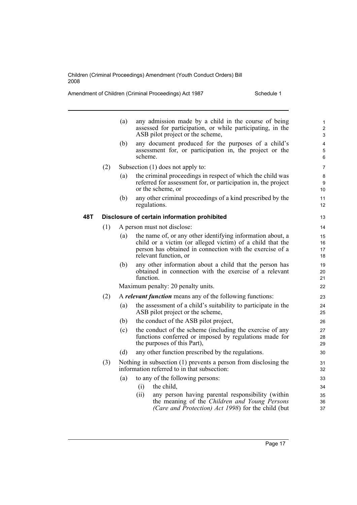Amendment of Children (Criminal Proceedings) Act 1987 Schedule 1

|     |     | (a) | any admission made by a child in the course of being<br>assessed for participation, or while participating, in the<br>ASB pilot project or the scheme,           | $\mathbf{1}$<br>$\overline{2}$<br>3 |
|-----|-----|-----|------------------------------------------------------------------------------------------------------------------------------------------------------------------|-------------------------------------|
|     |     | (b) | any document produced for the purposes of a child's<br>assessment for, or participation in, the project or the<br>scheme.                                        | $\overline{4}$<br>5<br>6            |
|     | (2) |     | Subsection $(1)$ does not apply to:                                                                                                                              | $\overline{7}$                      |
|     |     | (a) | the criminal proceedings in respect of which the child was<br>referred for assessment for, or participation in, the project<br>or the scheme, or                 | 8<br>9<br>10                        |
|     |     | (b) | any other criminal proceedings of a kind prescribed by the<br>regulations.                                                                                       | 11<br>12                            |
| 48T |     |     | Disclosure of certain information prohibited                                                                                                                     | 13                                  |
|     | (1) |     | A person must not disclose:                                                                                                                                      | 14                                  |
|     |     | (a) | the name of, or any other identifying information about, a                                                                                                       | 15                                  |
|     |     |     | child or a victim (or alleged victim) of a child that the<br>person has obtained in connection with the exercise of a                                            | 16<br>17                            |
|     |     |     | relevant function, or                                                                                                                                            | 18                                  |
|     |     | (b) | any other information about a child that the person has                                                                                                          | 19                                  |
|     |     |     | obtained in connection with the exercise of a relevant<br>function.                                                                                              | 20<br>21                            |
|     |     |     | Maximum penalty: 20 penalty units.                                                                                                                               | 22                                  |
|     | (2) |     | A <i>relevant function</i> means any of the following functions:                                                                                                 | 23                                  |
|     |     | (a) | the assessment of a child's suitability to participate in the<br>ASB pilot project or the scheme,                                                                | 24<br>25                            |
|     |     | (b) | the conduct of the ASB pilot project,                                                                                                                            | 26                                  |
|     |     | (c) | the conduct of the scheme (including the exercise of any<br>functions conferred or imposed by regulations made for<br>the purposes of this Part),                | 27<br>28<br>29                      |
|     |     | (d) | any other function prescribed by the regulations.                                                                                                                | 30                                  |
|     | (3) |     | Nothing in subsection (1) prevents a person from disclosing the<br>information referred to in that subsection:                                                   | 31<br>32                            |
|     |     | (a) | to any of the following persons:                                                                                                                                 | 33                                  |
|     |     |     | the child,<br>(i)                                                                                                                                                | 34                                  |
|     |     |     | (ii)<br>any person having parental responsibility (within<br>the meaning of the Children and Young Persons<br>(Care and Protection) Act 1998) for the child (but | 35<br>36<br>37                      |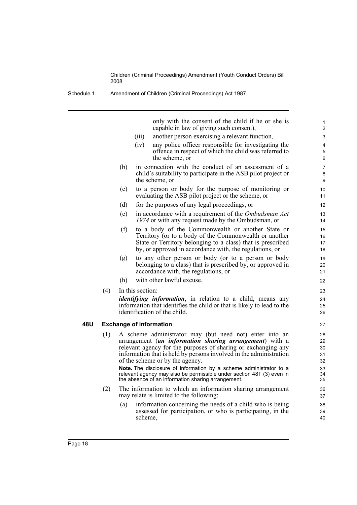40

Schedule 1 Amendment of Children (Criminal Proceedings) Act 1987

only with the consent of the child if he or she is capable in law of giving such consent), (iii) another person exercising a relevant function, (iv) any police officer responsible for investigating the offence in respect of which the child was referred to the scheme, or (b) in connection with the conduct of an assessment of a child's suitability to participate in the ASB pilot project or the scheme, or (c) to a person or body for the purpose of monitoring or evaluating the ASB pilot project or the scheme, or (d) for the purposes of any legal proceedings, or (e) in accordance with a requirement of the *Ombudsman Act 1974* or with any request made by the Ombudsman, or (f) to a body of the Commonwealth or another State or Territory (or to a body of the Commonwealth or another State or Territory belonging to a class) that is prescribed by, or approved in accordance with, the regulations, or (g) to any other person or body (or to a person or body belonging to a class) that is prescribed by, or approved in accordance with, the regulations, or (h) with other lawful excuse. (4) In this section: *identifying information*, in relation to a child, means any information that identifies the child or that is likely to lead to the identification of the child. **48U Exchange of information** (1) A scheme administrator may (but need not) enter into an arrangement (*an information sharing arrangement*) with a relevant agency for the purposes of sharing or exchanging any information that is held by persons involved in the administration of the scheme or by the agency. **Note.** The disclosure of information by a scheme administrator to a relevant agency may also be permissible under section 48T (3) even in the absence of an information sharing arrangement. (2) The information to which an information sharing arrangement may relate is limited to the following: (a) information concerning the needs of a child who is being assessed for participation, or who is participating, in the  $10$ 11 12 13 14 15 16 17 18 19  $20$ 21 22 23  $24$ 25 26 27 28 29 30 31 32 33 34 35 36 37 38 39

scheme,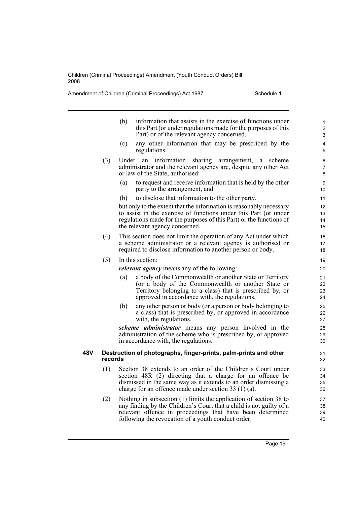Amendment of Children (Criminal Proceedings) Act 1987 Schedule 1

- (b) information that assists in the exercise of functions under this Part (or under regulations made for the purposes of this Part) or of the relevant agency concerned,
- (c) any other information that may be prescribed by the regulations.
- (3) Under an information sharing arrangement, a scheme administrator and the relevant agency are, despite any other Act or law of the State, authorised:
	- (a) to request and receive information that is held by the other party to the arrangement, and
	- (b) to disclose that information to the other party,

but only to the extent that the information is reasonably necessary to assist in the exercise of functions under this Part (or under regulations made for the purposes of this Part) or the functions of the relevant agency concerned.

- (4) This section does not limit the operation of any Act under which a scheme administrator or a relevant agency is authorised or required to disclose information to another person or body.
- (5) In this section:

*relevant agency* means any of the following:

- (a) a body of the Commonwealth or another State or Territory (or a body of the Commonwealth or another State or Territory belonging to a class) that is prescribed by, or approved in accordance with, the regulations,
- (b) any other person or body (or a person or body belonging to a class) that is prescribed by, or approved in accordance with, the regulations.

*scheme administrator* means any person involved in the administration of the scheme who is prescribed by, or approved in accordance with, the regulations.

#### **48V Destruction of photographs, finger-prints, palm-prints and other records**

- (1) Section 38 extends to an order of the Children's Court under section 48R (2) directing that a charge for an offence be dismissed in the same way as it extends to an order dismissing a charge for an offence made under section 33 (1) (a).
- (2) Nothing in subsection (1) limits the application of section 38 to any finding by the Children's Court that a child is not guilty of a relevant offence in proceedings that have been determined following the revocation of a youth conduct order.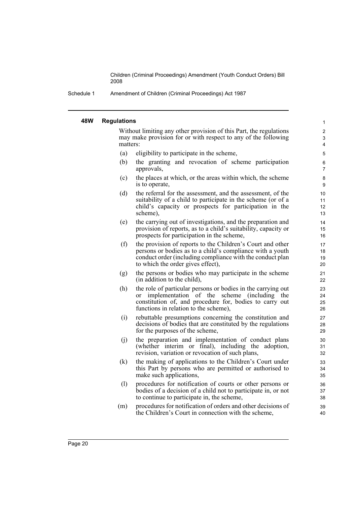Schedule 1 Amendment of Children (Criminal Proceedings) Act 1987

#### **48W Regulations**

Without limiting any other provision of this Part, the regulations may make provision for or with respect to any of the following matters:

- (a) eligibility to participate in the scheme,
- (b) the granting and revocation of scheme participation approvals,
- (c) the places at which, or the areas within which, the scheme is to operate,
- (d) the referral for the assessment, and the assessment, of the suitability of a child to participate in the scheme (or of a child's capacity or prospects for participation in the scheme),
- (e) the carrying out of investigations, and the preparation and provision of reports, as to a child's suitability, capacity or prospects for participation in the scheme,
- (f) the provision of reports to the Children's Court and other persons or bodies as to a child's compliance with a youth conduct order (including compliance with the conduct plan to which the order gives effect),
- (g) the persons or bodies who may participate in the scheme (in addition to the child),
- (h) the role of particular persons or bodies in the carrying out or implementation of the scheme (including the constitution of, and procedure for, bodies to carry out functions in relation to the scheme),
- (i) rebuttable presumptions concerning the constitution and decisions of bodies that are constituted by the regulations for the purposes of the scheme,
- (j) the preparation and implementation of conduct plans (whether interim or final), including the adoption, revision, variation or revocation of such plans,
- (k) the making of applications to the Children's Court under this Part by persons who are permitted or authorised to make such applications,
- (l) procedures for notification of courts or other persons or bodies of a decision of a child not to participate in, or not to continue to participate in, the scheme,
- (m) procedures for notification of orders and other decisions of the Children's Court in connection with the scheme,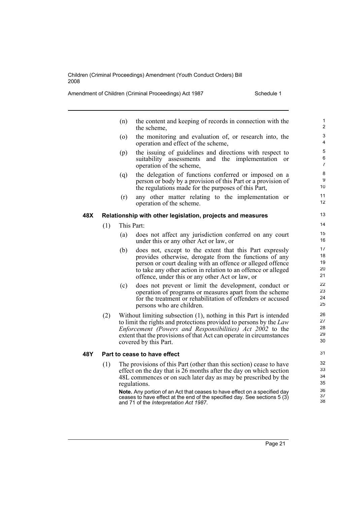Amendment of Children (Criminal Proceedings) Act 1987 Schedule 1

|     |     | the content and keeping of records in connection with the<br>(n)<br>the scheme,                                                                                                                                                                                                                                |               |
|-----|-----|----------------------------------------------------------------------------------------------------------------------------------------------------------------------------------------------------------------------------------------------------------------------------------------------------------------|---------------|
|     |     | (0)<br>the monitoring and evaluation of, or research into, the<br>operation and effect of the scheme,                                                                                                                                                                                                          |               |
|     |     | the issuing of guidelines and directions with respect to<br>(p)<br>suitability assessments and the implementation<br>operation of the scheme,                                                                                                                                                                  | <sub>or</sub> |
|     |     | the delegation of functions conferred or imposed on a<br>(q)<br>person or body by a provision of this Part or a provision of<br>the regulations made for the purposes of this Part,                                                                                                                            |               |
|     |     | any other matter relating to the implementation or<br>(r)<br>operation of the scheme.                                                                                                                                                                                                                          |               |
| 48X |     | Relationship with other legislation, projects and measures                                                                                                                                                                                                                                                     |               |
|     | (1) | This Part:                                                                                                                                                                                                                                                                                                     |               |
|     |     | (a)<br>does not affect any jurisdiction conferred on any court<br>under this or any other Act or law, or                                                                                                                                                                                                       |               |
|     |     | (b)<br>does not, except to the extent that this Part expressly<br>provides otherwise, derogate from the functions of any<br>person or court dealing with an offence or alleged offence<br>to take any other action in relation to an offence or alleged<br>offence, under this or any other Act or law, or     |               |
|     |     | does not prevent or limit the development, conduct or<br>(c)<br>operation of programs or measures apart from the scheme<br>for the treatment or rehabilitation of offenders or accused<br>persons who are children.                                                                                            |               |
|     | (2) | Without limiting subsection $(1)$ , nothing in this Part is intended<br>to limit the rights and protections provided to persons by the Law<br><i>Enforcement (Powers and Responsibilities) Act 2002 to the</i><br>extent that the provisions of that Act can operate in circumstances<br>covered by this Part. |               |
| 48Y |     | Part to cease to have effect                                                                                                                                                                                                                                                                                   |               |
|     | (1) | The provisions of this Part (other than this section) cease to have<br>effect on the day that is 26 months after the day on which section<br>48L commences or on such later day as may be prescribed by the<br>regulations.                                                                                    |               |
|     |     | Note. Any portion of an Act that ceases to have effect on a specified day                                                                                                                                                                                                                                      |               |

ceases to have effect at the end of the specified day. See sections 5 (3) and 71 of the *Interpretation Act 1987*.

Page 21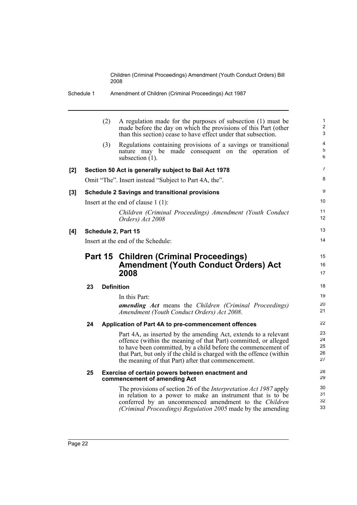|     |                                          | (2) | A regulation made for the purposes of subsection (1) must be<br>made before the day on which the provisions of this Part (other<br>than this section) cease to have effect under that subsection.                                                                                                                                 | $\mathbf{1}$<br>2<br>3     |  |  |
|-----|------------------------------------------|-----|-----------------------------------------------------------------------------------------------------------------------------------------------------------------------------------------------------------------------------------------------------------------------------------------------------------------------------------|----------------------------|--|--|
|     |                                          | (3) | Regulations containing provisions of a savings or transitional<br>nature may be made consequent on the operation of<br>subsection $(1)$ .                                                                                                                                                                                         | 4<br>$\sqrt{5}$<br>6       |  |  |
| [2] |                                          |     | Section 50 Act is generally subject to Bail Act 1978                                                                                                                                                                                                                                                                              | 7                          |  |  |
|     |                                          |     | Omit "The". Insert instead "Subject to Part 4A, the".                                                                                                                                                                                                                                                                             | 8                          |  |  |
| [3] |                                          |     | <b>Schedule 2 Savings and transitional provisions</b><br>Insert at the end of clause $1(1)$ :                                                                                                                                                                                                                                     | 9<br>10                    |  |  |
|     |                                          |     | Children (Criminal Proceedings) Amendment (Youth Conduct<br>Orders) Act 2008                                                                                                                                                                                                                                                      | 11<br>12                   |  |  |
| [4] |                                          |     | Schedule 2, Part 15                                                                                                                                                                                                                                                                                                               | 13                         |  |  |
|     | 14<br>Insert at the end of the Schedule: |     |                                                                                                                                                                                                                                                                                                                                   |                            |  |  |
|     | Part 15 Children (Criminal Proceedings)  |     |                                                                                                                                                                                                                                                                                                                                   | 15                         |  |  |
|     |                                          |     | <b>Amendment (Youth Conduct Orders) Act</b><br>2008                                                                                                                                                                                                                                                                               | 16<br>17                   |  |  |
|     | 23                                       |     | <b>Definition</b>                                                                                                                                                                                                                                                                                                                 | 18                         |  |  |
|     |                                          |     | In this Part:                                                                                                                                                                                                                                                                                                                     | 19                         |  |  |
|     |                                          |     | <b>amending Act</b> means the Children (Criminal Proceedings)<br>Amendment (Youth Conduct Orders) Act 2008.                                                                                                                                                                                                                       | 20<br>21                   |  |  |
|     | 24                                       |     | Application of Part 4A to pre-commencement offences                                                                                                                                                                                                                                                                               | 22                         |  |  |
|     |                                          |     | Part 4A, as inserted by the amending Act, extends to a relevant<br>offence (within the meaning of that Part) committed, or alleged<br>to have been committed, by a child before the commencement of<br>that Part, but only if the child is charged with the offence (within<br>the meaning of that Part) after that commencement. | 23<br>24<br>25<br>26<br>27 |  |  |
|     | 25                                       |     | Exercise of certain powers between enactment and<br>commencement of amending Act                                                                                                                                                                                                                                                  | 28<br>29                   |  |  |
|     |                                          |     | The provisions of section 26 of the <i>Interpretation Act 1987</i> apply<br>in relation to a power to make an instrument that is to be<br>conferred by an uncommenced amendment to the Children<br>(Criminal Proceedings) Regulation 2005 made by the amending                                                                    | 30<br>31<br>32<br>33       |  |  |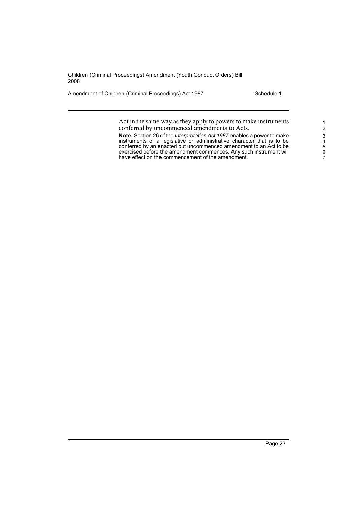Amendment of Children (Criminal Proceedings) Act 1987 Schedule 1

Act in the same way as they apply to powers to make instruments conferred by uncommenced amendments to Acts.

**Note.** Section 26 of the *Interpretation Act 1987* enables a power to make instruments of a legislative or administrative character that is to be conferred by an enacted but uncommenced amendment to an Act to be exercised before the amendment commences. Any such instrument will have effect on the commencement of the amendment.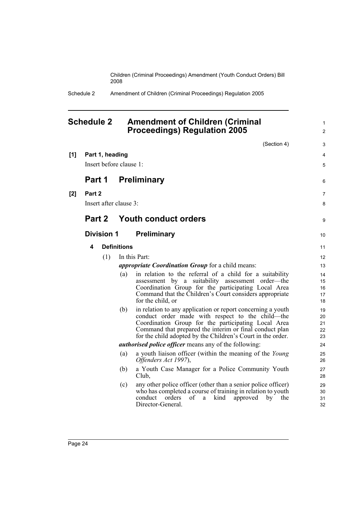Schedule 2 Amendment of Children (Criminal Proceedings) Regulation 2005

<span id="page-33-0"></span>

| <b>Schedule 2</b> |        |                   |                         | <b>Amendment of Children (Criminal</b><br><b>Proceedings) Regulation 2005</b>                                                                                                                                                                                                                    |                            |  |
|-------------------|--------|-------------------|-------------------------|--------------------------------------------------------------------------------------------------------------------------------------------------------------------------------------------------------------------------------------------------------------------------------------------------|----------------------------|--|
|                   |        |                   |                         | (Section 4)                                                                                                                                                                                                                                                                                      | 3                          |  |
| [1]               |        | Part 1, heading   |                         |                                                                                                                                                                                                                                                                                                  | 4                          |  |
|                   |        |                   | Insert before clause 1: |                                                                                                                                                                                                                                                                                                  | 5                          |  |
|                   |        |                   |                         | <b>Part 1 Preliminary</b>                                                                                                                                                                                                                                                                        | 6                          |  |
| [2]               | Part 2 |                   |                         |                                                                                                                                                                                                                                                                                                  | 7                          |  |
|                   |        |                   | Insert after clause 3:  |                                                                                                                                                                                                                                                                                                  | 8                          |  |
|                   | Part 2 |                   |                         | <b>Soluth conduct orders</b>                                                                                                                                                                                                                                                                     | 9                          |  |
|                   |        | <b>Division 1</b> |                         | <b>Preliminary</b>                                                                                                                                                                                                                                                                               | 10                         |  |
|                   | 4      |                   | <b>Definitions</b>      |                                                                                                                                                                                                                                                                                                  | 11                         |  |
|                   |        | (1)               |                         | In this Part:                                                                                                                                                                                                                                                                                    | 12                         |  |
|                   |        |                   |                         | <i>appropriate Coordination Group</i> for a child means:                                                                                                                                                                                                                                         | 13                         |  |
|                   |        |                   | (a)                     | in relation to the referral of a child for a suitability<br>assessment by a suitability assessment order—the<br>Coordination Group for the participating Local Area<br>Command that the Children's Court considers appropriate<br>for the child, or                                              | 14<br>15<br>16<br>17<br>18 |  |
|                   |        |                   | (b)                     | in relation to any application or report concerning a youth<br>conduct order made with respect to the child—the<br>Coordination Group for the participating Local Area<br>Command that prepared the interim or final conduct plan<br>for the child adopted by the Children's Court in the order. | 19<br>20<br>21<br>22<br>23 |  |
|                   |        |                   |                         | <i>authorised police officer</i> means any of the following:                                                                                                                                                                                                                                     | 24                         |  |
|                   |        |                   | (a)                     | a youth liaison officer (within the meaning of the Young<br>Offenders Act 1997),                                                                                                                                                                                                                 | 25<br>26                   |  |
|                   |        |                   | (b)                     | a Youth Case Manager for a Police Community Youth<br>Club,                                                                                                                                                                                                                                       | 27<br>28                   |  |
|                   |        |                   | (c)                     | any other police officer (other than a senior police officer)<br>who has completed a course of training in relation to youth<br>orders<br>of<br>conduct<br>kind<br>approved<br>a<br>by<br>the<br>Director-General.                                                                               | 29<br>30<br>31<br>32       |  |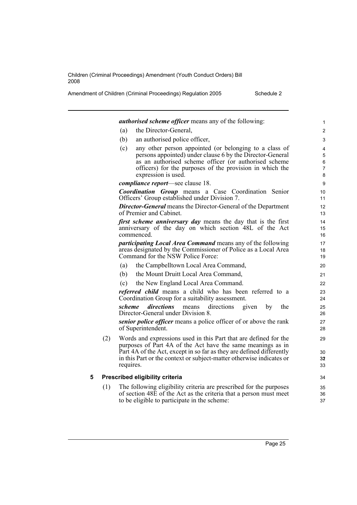Amendment of Children (Criminal Proceedings) Regulation 2005 Schedule 2

|   |     |           | <i>authorised scheme officer</i> means any of the following:                                                                                                                            | 1                     |
|---|-----|-----------|-----------------------------------------------------------------------------------------------------------------------------------------------------------------------------------------|-----------------------|
|   |     | (a)       | the Director-General,                                                                                                                                                                   | $\overline{2}$        |
|   |     | (b)       | an authorised police officer,                                                                                                                                                           | 3                     |
|   |     | (c)       | any other person appointed (or belonging to a class of<br>persons appointed) under clause 6 by the Director-General                                                                     | 4<br>5                |
|   |     |           | as an authorised scheme officer (or authorised scheme                                                                                                                                   | 6                     |
|   |     |           | officers) for the purposes of the provision in which the<br>expression is used.                                                                                                         | $\overline{7}$<br>8   |
|   |     |           | <i>compliance report</i> —see clause 18.                                                                                                                                                | 9                     |
|   |     |           | <b>Coordination Group</b> means a Case Coordination Senior<br>Officers' Group established under Division 7.                                                                             | 10 <sup>1</sup><br>11 |
|   |     |           | <b>Director-General</b> means the Director-General of the Department<br>of Premier and Cabinet.                                                                                         | 12<br>13              |
|   |     |           | <i>first scheme anniversary day</i> means the day that is the first                                                                                                                     | 14                    |
|   |     |           | anniversary of the day on which section 48L of the Act<br>commenced.                                                                                                                    | 15                    |
|   |     |           | <i>participating Local Area Command</i> means any of the following                                                                                                                      | 16<br>17              |
|   |     |           | areas designated by the Commissioner of Police as a Local Area                                                                                                                          | 18                    |
|   |     |           | Command for the NSW Police Force:                                                                                                                                                       | 19                    |
|   |     | (a)       | the Campbelltown Local Area Command,                                                                                                                                                    | 20                    |
|   |     | (b)       | the Mount Druitt Local Area Command,                                                                                                                                                    | 21                    |
|   |     | (c)       | the New England Local Area Command.                                                                                                                                                     | 22                    |
|   |     |           | <i>referred child</i> means a child who has been referred to a<br>Coordination Group for a suitability assessment.                                                                      | 23<br>24              |
|   |     | scheme    | directions<br>directions<br>given<br>by<br>the<br>means<br>Director-General under Division 8.                                                                                           | 25<br>26              |
|   |     |           | senior police officer means a police officer of or above the rank<br>of Superintendent.                                                                                                 | 27<br>28              |
|   | (2) |           | Words and expressions used in this Part that are defined for the<br>purposes of Part 4A of the Act have the same meanings as in                                                         | 29                    |
|   |     | requires. | Part 4A of the Act, except in so far as they are defined differently<br>in this Part or the context or subject-matter otherwise indicates or                                            | 30<br>32<br>33        |
| 5 |     |           | Prescribed eligibility criteria                                                                                                                                                         | 34                    |
|   | (1) |           | The following eligibility criteria are prescribed for the purposes<br>of section 48E of the Act as the criteria that a person must meet<br>to be eligible to participate in the scheme: | 35<br>36<br>37        |
|   |     |           |                                                                                                                                                                                         |                       |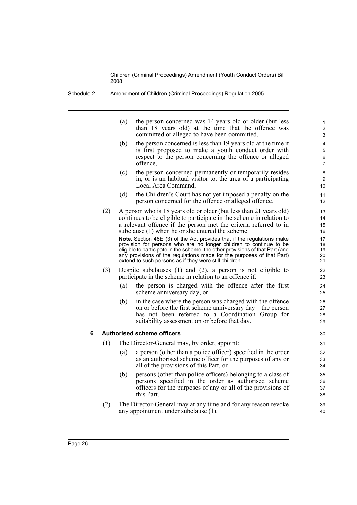Schedule 2 Amendment of Children (Criminal Proceedings) Regulation 2005

(a) the person concerned was 14 years old or older (but less than 18 years old) at the time that the offence was committed or alleged to have been committed,

- (b) the person concerned is less than 19 years old at the time it is first proposed to make a youth conduct order with respect to the person concerning the offence or alleged offence,
- (c) the person concerned permanently or temporarily resides in, or is an habitual visitor to, the area of a participating Local Area Command,
- (d) the Children's Court has not yet imposed a penalty on the person concerned for the offence or alleged offence.
- (2) A person who is 18 years old or older (but less than 21 years old) continues to be eligible to participate in the scheme in relation to a relevant offence if the person met the criteria referred to in subclause (1) when he or she entered the scheme. **Note.** Section 48E (3) of the Act provides that if the regulations make provision for persons who are no longer children to continue to be eligible to participate in the scheme, the other provisions of that Part (and any provisions of the regulations made for the purposes of that Part) extend to such persons as if they were still children.
- (3) Despite subclauses (1) and (2), a person is not eligible to participate in the scheme in relation to an offence if:
	- (a) the person is charged with the offence after the first scheme anniversary day, or
	- (b) in the case where the person was charged with the offence on or before the first scheme anniversary day—the person has not been referred to a Coordination Group for suitability assessment on or before that day.

#### **6 Authorised scheme officers**

- (1) The Director-General may, by order, appoint:
	- (a) a person (other than a police officer) specified in the order as an authorised scheme officer for the purposes of any or all of the provisions of this Part, or
	- (b) persons (other than police officers) belonging to a class of persons specified in the order as authorised scheme officers for the purposes of any or all of the provisions of this Part.
- (2) The Director-General may at any time and for any reason revoke any appointment under subclause (1).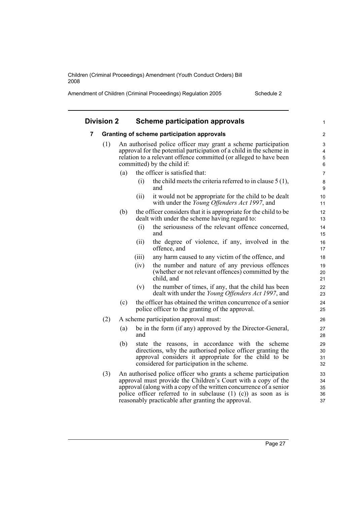Amendment of Children (Criminal Proceedings) Regulation 2005 Schedule 2

| <b>Division 2</b> |     |     |       | <b>Scheme participation approvals</b>                                                                                                                                                                                                                                                                                               | $\mathbf{1}$                |
|-------------------|-----|-----|-------|-------------------------------------------------------------------------------------------------------------------------------------------------------------------------------------------------------------------------------------------------------------------------------------------------------------------------------------|-----------------------------|
| 7                 |     |     |       | Granting of scheme participation approvals                                                                                                                                                                                                                                                                                          | 2                           |
|                   | (1) |     |       | An authorised police officer may grant a scheme participation<br>approval for the potential participation of a child in the scheme in<br>relation to a relevant offence committed (or alleged to have been<br>committed) by the child if:                                                                                           | 3<br>4<br>$\mathbf 5$<br>6  |
|                   |     | (a) |       | the officer is satisfied that:                                                                                                                                                                                                                                                                                                      | 7                           |
|                   |     |     | (i)   | the child meets the criteria referred to in clause $5(1)$ ,<br>and                                                                                                                                                                                                                                                                  | $\bf 8$<br>$\boldsymbol{9}$ |
|                   |     |     | (ii)  | it would not be appropriate for the child to be dealt<br>with under the Young Offenders Act 1997, and                                                                                                                                                                                                                               | 10<br>11                    |
|                   |     | (b) |       | the officer considers that it is appropriate for the child to be<br>dealt with under the scheme having regard to:                                                                                                                                                                                                                   | 12<br>13                    |
|                   |     |     | (i)   | the seriousness of the relevant offence concerned,<br>and                                                                                                                                                                                                                                                                           | 14<br>15                    |
|                   |     |     | (ii)  | the degree of violence, if any, involved in the<br>offence, and                                                                                                                                                                                                                                                                     | 16<br>17                    |
|                   |     |     | (iii) | any harm caused to any victim of the offence, and                                                                                                                                                                                                                                                                                   | 18                          |
|                   |     |     | (iv)  | the number and nature of any previous offences<br>(whether or not relevant offences) committed by the<br>child, and                                                                                                                                                                                                                 | 19<br>20<br>21              |
|                   |     |     | (v)   | the number of times, if any, that the child has been<br>dealt with under the Young Offenders Act 1997, and                                                                                                                                                                                                                          | 22<br>23                    |
|                   |     | (c) |       | the officer has obtained the written concurrence of a senior<br>police officer to the granting of the approval.                                                                                                                                                                                                                     | 24<br>25                    |
|                   | (2) |     |       | A scheme participation approval must:                                                                                                                                                                                                                                                                                               | 26                          |
|                   |     | (a) | and   | be in the form (if any) approved by the Director-General,                                                                                                                                                                                                                                                                           | 27<br>28                    |
|                   |     | (b) |       | state the reasons, in accordance with the scheme<br>directions, why the authorised police officer granting the<br>approval considers it appropriate for the child to be<br>considered for participation in the scheme.                                                                                                              | 29<br>30<br>31<br>32        |
|                   | (3) |     |       | An authorised police officer who grants a scheme participation<br>approval must provide the Children's Court with a copy of the<br>approval (along with a copy of the written concurrence of a senior<br>police officer referred to in subclause $(1)$ $(c)$ ) as soon as is<br>reasonably practicable after granting the approval. | 33<br>34<br>35<br>36<br>37  |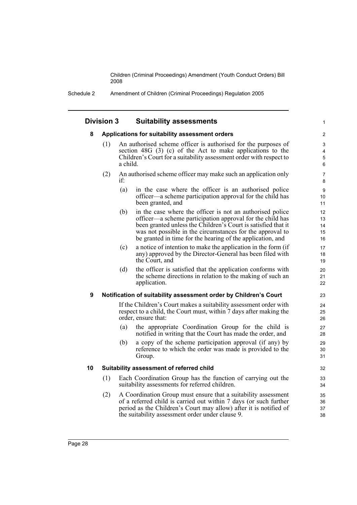Schedule 2 Amendment of Children (Criminal Proceedings) Regulation 2005

|    | <b>Division 3</b>                              | <b>Suitability assessments</b>                                                                                                                                                                                                                                                                                            |                            |  |
|----|------------------------------------------------|---------------------------------------------------------------------------------------------------------------------------------------------------------------------------------------------------------------------------------------------------------------------------------------------------------------------------|----------------------------|--|
| 8  | Applications for suitability assessment orders |                                                                                                                                                                                                                                                                                                                           |                            |  |
|    | (1)                                            | An authorised scheme officer is authorised for the purposes of<br>section $48G$ (3) (c) of the Act to make applications to the<br>Children's Court for a suitability assessment order with respect to<br>a child.                                                                                                         | 3<br>4<br>5<br>$\,6\,$     |  |
|    | (2)                                            | An authorised scheme officer may make such an application only<br>if:                                                                                                                                                                                                                                                     | $\overline{7}$<br>8        |  |
|    |                                                | (a)<br>in the case where the officer is an authorised police<br>officer—a scheme participation approval for the child has<br>been granted, and                                                                                                                                                                            | 9<br>10<br>11              |  |
|    |                                                | in the case where the officer is not an authorised police<br>(b)<br>officer—a scheme participation approval for the child has<br>been granted unless the Children's Court is satisfied that it<br>was not possible in the circumstances for the approval to<br>be granted in time for the hearing of the application, and | 12<br>13<br>14<br>15<br>16 |  |
|    |                                                | a notice of intention to make the application in the form (if<br>(c)<br>any) approved by the Director-General has been filed with<br>the Court, and                                                                                                                                                                       | 17<br>18<br>19             |  |
|    |                                                | the officer is satisfied that the application conforms with<br>(d)<br>the scheme directions in relation to the making of such an<br>application.                                                                                                                                                                          | 20<br>21<br>22             |  |
| 9  |                                                | Notification of suitability assessment order by Children's Court                                                                                                                                                                                                                                                          | 23                         |  |
|    |                                                | If the Children's Court makes a suitability assessment order with<br>respect to a child, the Court must, within 7 days after making the<br>order, ensure that:                                                                                                                                                            | 24<br>25<br>26             |  |
|    |                                                | the appropriate Coordination Group for the child is<br>(a)<br>notified in writing that the Court has made the order, and                                                                                                                                                                                                  | 27<br>28                   |  |
|    |                                                | a copy of the scheme participation approval (if any) by<br>(b)<br>reference to which the order was made is provided to the<br>Group.                                                                                                                                                                                      | 29<br>30<br>31             |  |
| 10 |                                                | Suitability assessment of referred child                                                                                                                                                                                                                                                                                  | 32                         |  |
|    | (1)                                            | Each Coordination Group has the function of carrying out the<br>suitability assessments for referred children.                                                                                                                                                                                                            | 33<br>34                   |  |
|    | (2)                                            | A Coordination Group must ensure that a suitability assessment<br>of a referred child is carried out within 7 days (or such further<br>period as the Children's Court may allow) after it is notified of<br>the suitability assessment order under clause 9.                                                              | 35<br>36<br>37<br>38       |  |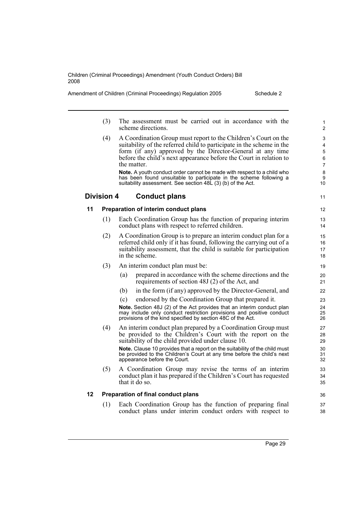| Amendment of Children (Criminal Proceedings) Regulation 2005 |  |  |  |  |
|--------------------------------------------------------------|--|--|--|--|
|--------------------------------------------------------------|--|--|--|--|

Schedule 2

11

36 37 38

- (3) The assessment must be carried out in accordance with the scheme directions.
- (4) A Coordination Group must report to the Children's Court on the suitability of the referred child to participate in the scheme in the form (if any) approved by the Director-General at any time before the child's next appearance before the Court in relation to the matter.

**Note.** A youth conduct order cannot be made with respect to a child who has been found unsuitable to participate in the scheme following a suitability assessment. See section 48L (3) (b) of the Act.

# **Division 4 Conduct plans**

#### **11 Preparation of interim conduct plans**

- (1) Each Coordination Group has the function of preparing interim conduct plans with respect to referred children.
- (2) A Coordination Group is to prepare an interim conduct plan for a referred child only if it has found, following the carrying out of a suitability assessment, that the child is suitable for participation in the scheme.
- (3) An interim conduct plan must be:
	- (a) prepared in accordance with the scheme directions and the requirements of section 48J (2) of the Act, and
	- (b) in the form (if any) approved by the Director-General, and
	- (c) endorsed by the Coordination Group that prepared it.

**Note.** Section 48J (2) of the Act provides that an interim conduct plan may include only conduct restriction provisions and positive conduct provisions of the kind specified by section 48C of the Act.

(4) An interim conduct plan prepared by a Coordination Group must be provided to the Children's Court with the report on the suitability of the child provided under clause 10. **Note.** Clause 10 provides that a report on the suitability of the child must

be provided to the Children's Court at any time before the child's next appearance before the Court.

(5) A Coordination Group may revise the terms of an interim conduct plan it has prepared if the Children's Court has requested that it do so.

#### **12 Preparation of final conduct plans**

(1) Each Coordination Group has the function of preparing final conduct plans under interim conduct orders with respect to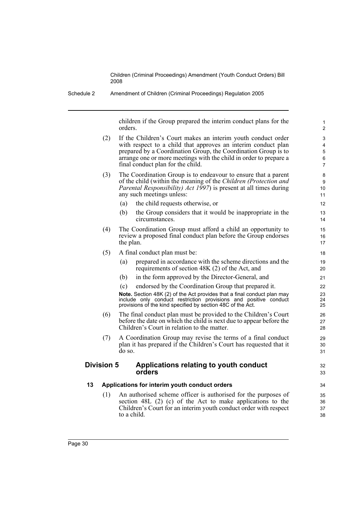children if the Group prepared the interim conduct plans for the orders.

32 33

- (2) If the Children's Court makes an interim youth conduct order with respect to a child that approves an interim conduct plan prepared by a Coordination Group, the Coordination Group is to arrange one or more meetings with the child in order to prepare a final conduct plan for the child.
- (3) The Coordination Group is to endeavour to ensure that a parent of the child (within the meaning of the *Children (Protection and Parental Responsibility) Act 1997*) is present at all times during any such meetings unless:
	- (a) the child requests otherwise, or
	- (b) the Group considers that it would be inappropriate in the circumstances.
- (4) The Coordination Group must afford a child an opportunity to review a proposed final conduct plan before the Group endorses the plan.

#### (5) A final conduct plan must be:

- (a) prepared in accordance with the scheme directions and the requirements of section 48K (2) of the Act, and
- (b) in the form approved by the Director-General, and
- (c) endorsed by the Coordination Group that prepared it.

**Note.** Section 48K (2) of the Act provides that a final conduct plan may include only conduct restriction provisions and positive conduct provisions of the kind specified by section 48C of the Act.

- (6) The final conduct plan must be provided to the Children's Court before the date on which the child is next due to appear before the Children's Court in relation to the matter.
- (7) A Coordination Group may revise the terms of a final conduct plan it has prepared if the Children's Court has requested that it do so.

#### **Division 5 Applications relating to youth conduct orders**

#### **13 Applications for interim youth conduct orders**

(1) An authorised scheme officer is authorised for the purposes of section 48L (2) (c) of the Act to make applications to the Children's Court for an interim youth conduct order with respect to a child.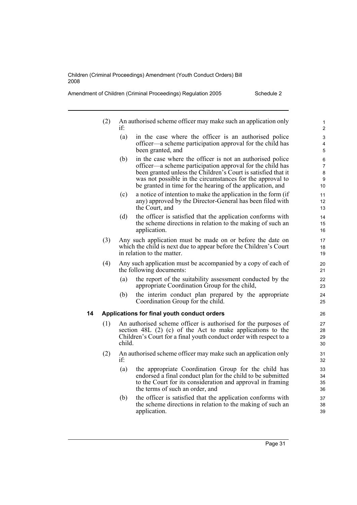Amendment of Children (Criminal Proceedings) Regulation 2005 Schedule 2

- (2) An authorised scheme officer may make such an application only if:
	- (a) in the case where the officer is an authorised police officer—a scheme participation approval for the child has been granted, and
	- (b) in the case where the officer is not an authorised police officer—a scheme participation approval for the child has been granted unless the Children's Court is satisfied that it was not possible in the circumstances for the approval to be granted in time for the hearing of the application, and
	- (c) a notice of intention to make the application in the form (if any) approved by the Director-General has been filed with the Court, and
	- (d) the officer is satisfied that the application conforms with the scheme directions in relation to the making of such an application.
- (3) Any such application must be made on or before the date on which the child is next due to appear before the Children's Court in relation to the matter.
- (4) Any such application must be accompanied by a copy of each of the following documents:
	- (a) the report of the suitability assessment conducted by the appropriate Coordination Group for the child,
	- (b) the interim conduct plan prepared by the appropriate Coordination Group for the child.

#### **14 Applications for final youth conduct orders**

- (1) An authorised scheme officer is authorised for the purposes of section 48L (2) (c) of the Act to make applications to the Children's Court for a final youth conduct order with respect to a child.
- (2) An authorised scheme officer may make such an application only if:
	- (a) the appropriate Coordination Group for the child has endorsed a final conduct plan for the child to be submitted to the Court for its consideration and approval in framing the terms of such an order, and
	- (b) the officer is satisfied that the application conforms with the scheme directions in relation to the making of such an application.

Page 31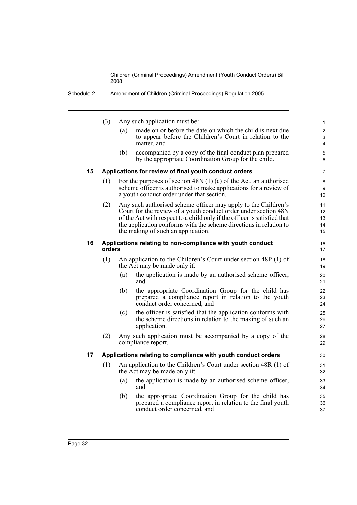|    | (3)    | Any such application must be:                                                                                                                                                                                                                                                                                             | $\mathbf{1}$               |
|----|--------|---------------------------------------------------------------------------------------------------------------------------------------------------------------------------------------------------------------------------------------------------------------------------------------------------------------------------|----------------------------|
|    |        | made on or before the date on which the child is next due<br>(a)<br>to appear before the Children's Court in relation to the<br>matter, and                                                                                                                                                                               | 2<br>3<br>4                |
|    |        | accompanied by a copy of the final conduct plan prepared<br>(b)<br>by the appropriate Coordination Group for the child.                                                                                                                                                                                                   | 5<br>6                     |
| 15 |        | Applications for review of final youth conduct orders                                                                                                                                                                                                                                                                     | $\overline{7}$             |
|    | (1)    | For the purposes of section 48N $(1)$ (c) of the Act, an authorised<br>scheme officer is authorised to make applications for a review of<br>a youth conduct order under that section.                                                                                                                                     | 8<br>9<br>10               |
|    | (2)    | Any such authorised scheme officer may apply to the Children's<br>Court for the review of a youth conduct order under section 48N<br>of the Act with respect to a child only if the officer is satisfied that<br>the application conforms with the scheme directions in relation to<br>the making of such an application. | 11<br>12<br>13<br>14<br>15 |
| 16 | orders | Applications relating to non-compliance with youth conduct                                                                                                                                                                                                                                                                | 16<br>17                   |
|    | (1)    | An application to the Children's Court under section 48P (1) of<br>the Act may be made only if:                                                                                                                                                                                                                           | 18<br>19                   |
|    |        | the application is made by an authorised scheme officer,<br>(a)<br>and                                                                                                                                                                                                                                                    | 20<br>21                   |
|    |        | the appropriate Coordination Group for the child has<br>(b)<br>prepared a compliance report in relation to the youth<br>conduct order concerned, and                                                                                                                                                                      | 22<br>23<br>24             |
|    |        | the officer is satisfied that the application conforms with<br>(c)<br>the scheme directions in relation to the making of such an<br>application.                                                                                                                                                                          | 25<br>26<br>27             |
|    | (2)    | Any such application must be accompanied by a copy of the<br>compliance report.                                                                                                                                                                                                                                           | 28<br>29                   |
| 17 |        | Applications relating to compliance with youth conduct orders                                                                                                                                                                                                                                                             | 30                         |
|    | (1)    | An application to the Children's Court under section 48R (1) of<br>the Act may be made only if:                                                                                                                                                                                                                           | 31<br>32                   |
|    |        | the application is made by an authorised scheme officer,<br>(a)<br>and                                                                                                                                                                                                                                                    | 33<br>34                   |
|    |        | the appropriate Coordination Group for the child has<br>(b)<br>prepared a compliance report in relation to the final youth<br>conduct order concerned, and                                                                                                                                                                | 35<br>36<br>37             |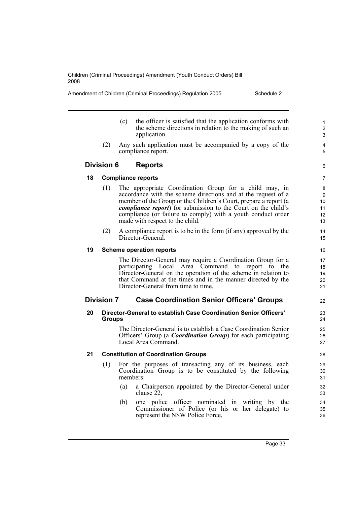Amendment of Children (Criminal Proceedings) Regulation 2005 Schedule 2

- (c) the officer is satisfied that the application conforms with the scheme directions in relation to the making of such an application.
- (2) Any such application must be accompanied by a copy of the compliance report.

6

22

# **Division 6 Reports**

#### **18 Compliance reports**

- (1) The appropriate Coordination Group for a child may, in accordance with the scheme directions and at the request of a member of the Group or the Children's Court, prepare a report (a *compliance report*) for submission to the Court on the child's compliance (or failure to comply) with a youth conduct order made with respect to the child.
- (2) A compliance report is to be in the form (if any) approved by the Director-General.

#### **19 Scheme operation reports**

The Director-General may require a Coordination Group for a participating Local Area Command to report to the Director-General on the operation of the scheme in relation to that Command at the times and in the manner directed by the Director-General from time to time.

## **Division 7 Case Coordination Senior Officers' Groups**

#### **20 Director-General to establish Case Coordination Senior Officers' Groups**

The Director-General is to establish a Case Coordination Senior Officers' Group (a *Coordination Group*) for each participating Local Area Command.

#### **21 Constitution of Coordination Groups**

- (1) For the purposes of transacting any of its business, each Coordination Group is to be constituted by the following members:
	- (a) a Chairperson appointed by the Director-General under clause  $22$ ,
	- (b) one police officer nominated in writing by the Commissioner of Police (or his or her delegate) to represent the NSW Police Force,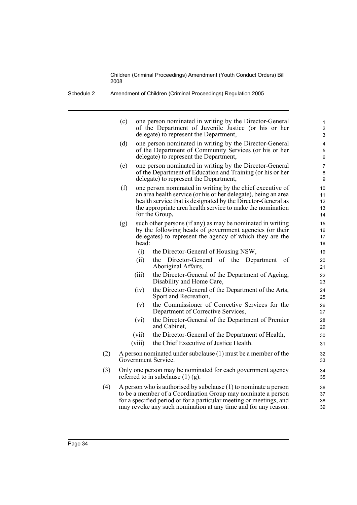Schedule 2 Amendment of Children (Criminal Proceedings) Regulation 2005

|     | (c) |                 | one person nominated in writing by the Director-General<br>of the Department of Juvenile Justice (or his or her<br>delegate) to represent the Department,                                                                                                                   | 1<br>$\overline{2}$<br>3   |
|-----|-----|-----------------|-----------------------------------------------------------------------------------------------------------------------------------------------------------------------------------------------------------------------------------------------------------------------------|----------------------------|
|     | (d) |                 | one person nominated in writing by the Director-General<br>of the Department of Community Services (or his or her<br>delegate) to represent the Department,                                                                                                                 | 4<br>5<br>6                |
|     | (e) |                 | one person nominated in writing by the Director-General<br>of the Department of Education and Training (or his or her<br>delegate) to represent the Department,                                                                                                             | 7<br>8<br>9                |
|     | (f) |                 | one person nominated in writing by the chief executive of<br>an area health service (or his or her delegate), being an area<br>health service that is designated by the Director-General as<br>the appropriate area health service to make the nomination<br>for the Group, | 10<br>11<br>12<br>13<br>14 |
|     | (g) | head:           | such other persons (if any) as may be nominated in writing<br>by the following heads of government agencies (or their<br>delegates) to represent the agency of which they are the                                                                                           | 15<br>16<br>17<br>18       |
|     |     | (i)<br>(ii)     | the Director-General of Housing NSW,<br>the Director-General<br>of the<br>of<br>Department<br>Aboriginal Affairs,                                                                                                                                                           | 19<br>20<br>21             |
|     |     | (iii)           | the Director-General of the Department of Ageing,<br>Disability and Home Care,                                                                                                                                                                                              | 22<br>23                   |
|     |     | (iv)            | the Director-General of the Department of the Arts,<br>Sport and Recreation,                                                                                                                                                                                                | 24<br>25                   |
|     |     | (v)             | the Commissioner of Corrective Services for the<br>Department of Corrective Services,                                                                                                                                                                                       | 26<br>27                   |
|     |     | (vi)            | the Director-General of the Department of Premier<br>and Cabinet.                                                                                                                                                                                                           | 28<br>29                   |
|     |     | (vii)<br>(viii) | the Director-General of the Department of Health,<br>the Chief Executive of Justice Health.                                                                                                                                                                                 | 30<br>31                   |
| (2) |     |                 | A person nominated under subclause $(1)$ must be a member of the<br>Government Service.                                                                                                                                                                                     | 32<br>33                   |
| (3) |     |                 | Only one person may be nominated for each government agency<br>referred to in subclause $(1)$ (g).                                                                                                                                                                          | 34<br>35                   |
| (4) |     |                 | A person who is authorised by subclause $(1)$ to nominate a person<br>to be a member of a Coordination Group may nominate a person<br>for a specified period or for a particular meeting or meetings, and<br>may revoke any such nomination at any time and for any reason. | 36<br>37<br>38<br>39       |
|     |     |                 |                                                                                                                                                                                                                                                                             |                            |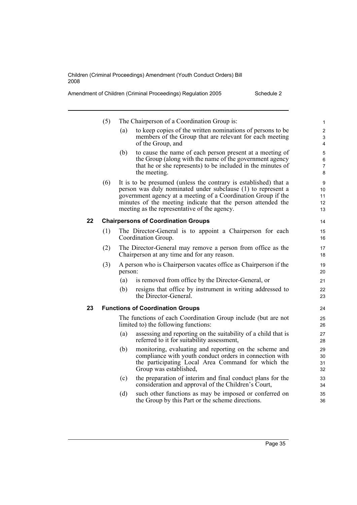| Amendment of Children (Criminal Proceedings) Regulation 2005 |  |  |  |  |
|--------------------------------------------------------------|--|--|--|--|
|--------------------------------------------------------------|--|--|--|--|

Schedule 2

|    | (5) |         | The Chairperson of a Coordination Group is:                                                                                                                                                                                                                                                                       | $\mathbf{1}$                  |
|----|-----|---------|-------------------------------------------------------------------------------------------------------------------------------------------------------------------------------------------------------------------------------------------------------------------------------------------------------------------|-------------------------------|
|    |     | (a)     | to keep copies of the written nominations of persons to be<br>members of the Group that are relevant for each meeting<br>of the Group, and                                                                                                                                                                        | $\overline{2}$<br>3<br>4      |
|    |     | (b)     | to cause the name of each person present at a meeting of<br>the Group (along with the name of the government agency<br>that he or she represents) to be included in the minutes of<br>the meeting.                                                                                                                | 5<br>6<br>$\overline{7}$<br>8 |
|    | (6) |         | It is to be presumed (unless the contrary is established) that a<br>person was duly nominated under subclause (1) to represent a<br>government agency at a meeting of a Coordination Group if the<br>minutes of the meeting indicate that the person attended the<br>meeting as the representative of the agency. | 9<br>10<br>11<br>12<br>13     |
| 22 |     |         | <b>Chairpersons of Coordination Groups</b>                                                                                                                                                                                                                                                                        | 14                            |
|    | (1) |         | The Director-General is to appoint a Chairperson for each<br>Coordination Group.                                                                                                                                                                                                                                  | 15<br>16                      |
|    | (2) |         | The Director-General may remove a person from office as the<br>Chairperson at any time and for any reason.                                                                                                                                                                                                        | 17<br>18                      |
|    | (3) | person: | A person who is Chairperson vacates office as Chairperson if the                                                                                                                                                                                                                                                  | 19<br>20                      |
|    |     | (a)     | is removed from office by the Director-General, or                                                                                                                                                                                                                                                                | 21                            |
|    |     | (b)     | resigns that office by instrument in writing addressed to<br>the Director-General.                                                                                                                                                                                                                                | 22<br>23                      |
| 23 |     |         | <b>Functions of Coordination Groups</b>                                                                                                                                                                                                                                                                           | 24                            |
|    |     |         | The functions of each Coordination Group include (but are not<br>limited to) the following functions:                                                                                                                                                                                                             | 25<br>26                      |
|    |     | (a)     | assessing and reporting on the suitability of a child that is<br>referred to it for suitability assessment,                                                                                                                                                                                                       | 27<br>28                      |
|    |     | (b)     | monitoring, evaluating and reporting on the scheme and<br>compliance with youth conduct orders in connection with<br>the participating Local Area Command for which the<br>Group was established,                                                                                                                 | 29<br>30<br>31<br>32          |
|    |     | (c)     | the preparation of interim and final conduct plans for the<br>consideration and approval of the Children's Court,                                                                                                                                                                                                 | 33<br>34                      |
|    |     | (d)     | such other functions as may be imposed or conferred on<br>the Group by this Part or the scheme directions.                                                                                                                                                                                                        | 35<br>36                      |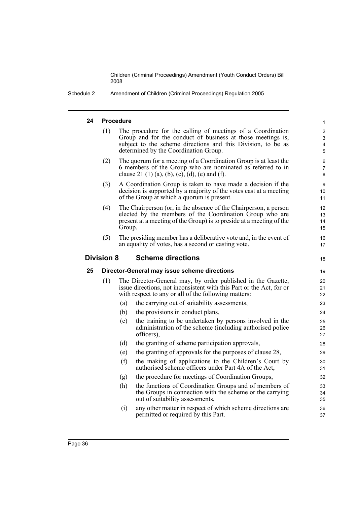Schedule 2 Amendment of Children (Criminal Proceedings) Regulation 2005

## **24 Procedure**

| 24 | <b>Procedure</b>  |        |                                                                                                                                                                                                                                     |                                     |  |  |
|----|-------------------|--------|-------------------------------------------------------------------------------------------------------------------------------------------------------------------------------------------------------------------------------------|-------------------------------------|--|--|
|    | (1)               |        | The procedure for the calling of meetings of a Coordination<br>Group and for the conduct of business at those meetings is,<br>subject to the scheme directions and this Division, to be as<br>determined by the Coordination Group. | 2<br>3<br>4<br>5                    |  |  |
|    | (2)               |        | The quorum for a meeting of a Coordination Group is at least the<br>6 members of the Group who are nominated as referred to in<br>clause 21 (1) (a), (b), (c), (d), (e) and (f).                                                    | 6<br>7<br>8                         |  |  |
|    | (3)               |        | A Coordination Group is taken to have made a decision if the<br>decision is supported by a majority of the votes cast at a meeting<br>of the Group at which a quorum is present.                                                    | 9<br>10<br>11                       |  |  |
|    | (4)               | Group. | The Chairperson (or, in the absence of the Chairperson, a person<br>elected by the members of the Coordination Group who are<br>present at a meeting of the Group) is to preside at a meeting of the                                | $12 \overline{ }$<br>13<br>14<br>15 |  |  |
|    | (5)               |        | The presiding member has a deliberative vote and, in the event of<br>an equality of votes, has a second or casting vote.                                                                                                            | 16<br>17                            |  |  |
|    | <b>Division 8</b> |        | <b>Scheme directions</b>                                                                                                                                                                                                            | 18                                  |  |  |
| 25 |                   |        | Director-General may issue scheme directions                                                                                                                                                                                        | 19                                  |  |  |
|    | (1)               |        | The Director-General may, by order published in the Gazette,<br>issue directions, not inconsistent with this Part or the Act, for or<br>with respect to any or all of the following matters:                                        | 20<br>21<br>22                      |  |  |
|    |                   | (a)    | the carrying out of suitability assessments,                                                                                                                                                                                        | 23                                  |  |  |
|    |                   | (b)    | the provisions in conduct plans,                                                                                                                                                                                                    | 24                                  |  |  |
|    |                   | (c)    | the training to be undertaken by persons involved in the<br>administration of the scheme (including authorised police)<br>officers),                                                                                                | 25<br>26<br>27                      |  |  |
|    |                   | (d)    | the granting of scheme participation approvals,                                                                                                                                                                                     | 28                                  |  |  |
|    |                   | (e)    | the granting of approvals for the purposes of clause 28,                                                                                                                                                                            | 29                                  |  |  |
|    |                   | (f)    | the making of applications to the Children's Court by<br>authorised scheme officers under Part 4A of the Act,                                                                                                                       | 30<br>31                            |  |  |
|    |                   | (g)    | the procedure for meetings of Coordination Groups,                                                                                                                                                                                  | 32                                  |  |  |
|    |                   | (h)    | the functions of Coordination Groups and of members of<br>the Groups in connection with the scheme or the carrying<br>out of suitability assessments,                                                                               | 33<br>34<br>35                      |  |  |
|    |                   | (i)    | any other matter in respect of which scheme directions are<br>permitted or required by this Part.                                                                                                                                   | 36<br>37                            |  |  |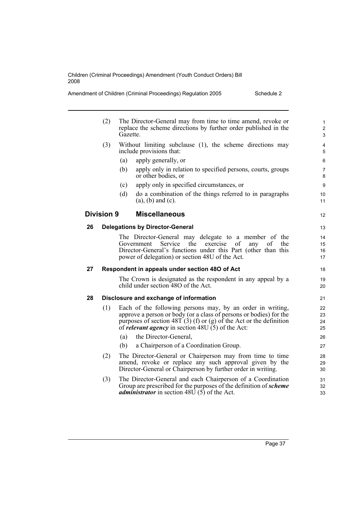| Amendment of Children (Criminal Proceedings) Regulation 2005 | Schedule 2 |
|--------------------------------------------------------------|------------|
|--------------------------------------------------------------|------------|

|    | (2)               | The Director-General may from time to time amend, revoke or<br>replace the scheme directions by further order published in the<br>Gazette.                                                                                                                           |                      |  |  |  |
|----|-------------------|----------------------------------------------------------------------------------------------------------------------------------------------------------------------------------------------------------------------------------------------------------------------|----------------------|--|--|--|
|    | (3)               | Without limiting subclause (1), the scheme directions may<br>include provisions that:                                                                                                                                                                                | 4<br>5               |  |  |  |
|    |                   | apply generally, or<br>(a)                                                                                                                                                                                                                                           | 6                    |  |  |  |
|    |                   | (b)<br>apply only in relation to specified persons, courts, groups<br>or other bodies, or                                                                                                                                                                            | $\overline{7}$<br>8  |  |  |  |
|    |                   | apply only in specified circumstances, or<br>(c)                                                                                                                                                                                                                     | $\boldsymbol{9}$     |  |  |  |
|    |                   | do a combination of the things referred to in paragraphs<br>(d)<br>$(a)$ , $(b)$ and $(c)$ .                                                                                                                                                                         | 10<br>11             |  |  |  |
|    | <b>Division 9</b> | <b>Miscellaneous</b>                                                                                                                                                                                                                                                 | 12                   |  |  |  |
| 26 |                   | <b>Delegations by Director-General</b>                                                                                                                                                                                                                               | 13                   |  |  |  |
|    |                   | The Director-General may delegate to a member of the<br>Service<br>the<br>exercise<br>of<br>of<br>Government<br>any<br>the<br>Director-General's functions under this Part (other than this<br>power of delegation) or section 48U of the Act.                       | 14<br>15<br>16<br>17 |  |  |  |
| 27 |                   | Respondent in appeals under section 480 of Act                                                                                                                                                                                                                       | 18                   |  |  |  |
|    |                   | The Crown is designated as the respondent in any appeal by a<br>child under section 480 of the Act.                                                                                                                                                                  | 19<br>20             |  |  |  |
| 28 |                   | Disclosure and exchange of information                                                                                                                                                                                                                               | 21                   |  |  |  |
|    | (1)               | Each of the following persons may, by an order in writing,<br>approve a person or body (or a class of persons or bodies) for the<br>purposes of section 48T (3) (f) or (g) of the Act or the definition<br>of <i>relevant agency</i> in section $48U(5)$ of the Act: | 22<br>23<br>24<br>25 |  |  |  |
|    |                   | the Director-General,<br>(a)                                                                                                                                                                                                                                         | 26                   |  |  |  |
|    |                   | a Chairperson of a Coordination Group.<br>(b)                                                                                                                                                                                                                        | 27                   |  |  |  |
|    | (2)               | The Director-General or Chairperson may from time to time<br>amend, revoke or replace any such approval given by the<br>Director-General or Chairperson by further order in writing.                                                                                 | 28<br>29<br>30       |  |  |  |
|    | (3)               | The Director-General and each Chairperson of a Coordination<br>Group are prescribed for the purposes of the definition of <i>scheme</i><br><i>administrator</i> in section $48\overline{U}(5)$ of the Act.                                                           | 31<br>32<br>33       |  |  |  |